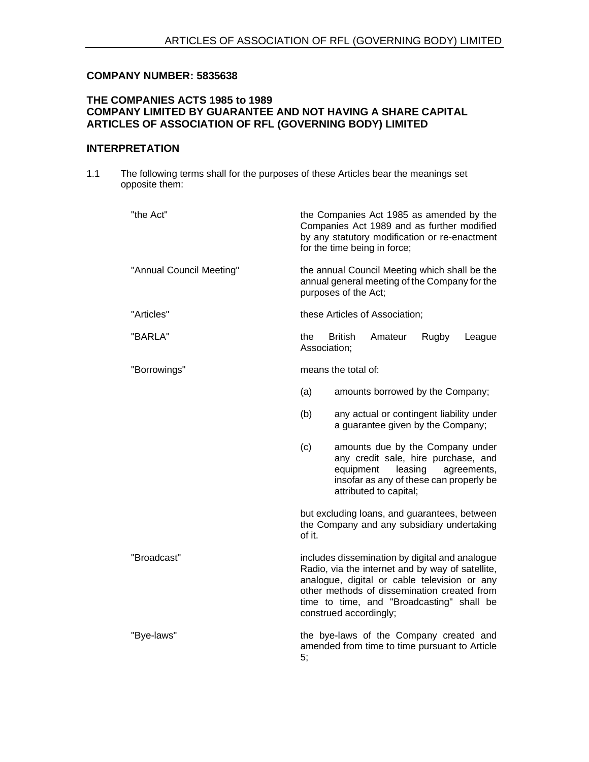# **COMPANY NUMBER: 5835638**

# **THE COMPANIES ACTS 1985 to 1989 COMPANY LIMITED BY GUARANTEE AND NOT HAVING A SHARE CAPITAL ARTICLES OF ASSOCIATION OF RFL (GOVERNING BODY) LIMITED**

# **INTERPRETATION**

1.1 The following terms shall for the purposes of these Articles bear the meanings set opposite them:

| "the Act"                | the Companies Act 1985 as amended by the<br>Companies Act 1989 and as further modified<br>by any statutory modification or re-enactment<br>for the time being in force;                                                                                                  |
|--------------------------|--------------------------------------------------------------------------------------------------------------------------------------------------------------------------------------------------------------------------------------------------------------------------|
| "Annual Council Meeting" | the annual Council Meeting which shall be the<br>annual general meeting of the Company for the<br>purposes of the Act;                                                                                                                                                   |
| "Articles"               | these Articles of Association;                                                                                                                                                                                                                                           |
| "BARLA"                  | <b>British</b><br>the<br>Amateur<br>Rugby<br>League<br>Association;                                                                                                                                                                                                      |
| "Borrowings"             | means the total of:                                                                                                                                                                                                                                                      |
|                          | (a)<br>amounts borrowed by the Company;                                                                                                                                                                                                                                  |
|                          | (b)<br>any actual or contingent liability under<br>a guarantee given by the Company;                                                                                                                                                                                     |
|                          | amounts due by the Company under<br>(c)<br>any credit sale, hire purchase, and<br>equipment<br>leasing<br>agreements,<br>insofar as any of these can properly be<br>attributed to capital;                                                                               |
|                          | but excluding loans, and guarantees, between<br>the Company and any subsidiary undertaking<br>of it.                                                                                                                                                                     |
| "Broadcast"              | includes dissemination by digital and analogue<br>Radio, via the internet and by way of satellite,<br>analogue, digital or cable television or any<br>other methods of dissemination created from<br>time to time, and "Broadcasting" shall be<br>construed accordingly; |
| "Bye-laws"               | the bye-laws of the Company created and<br>amended from time to time pursuant to Article<br>5;                                                                                                                                                                           |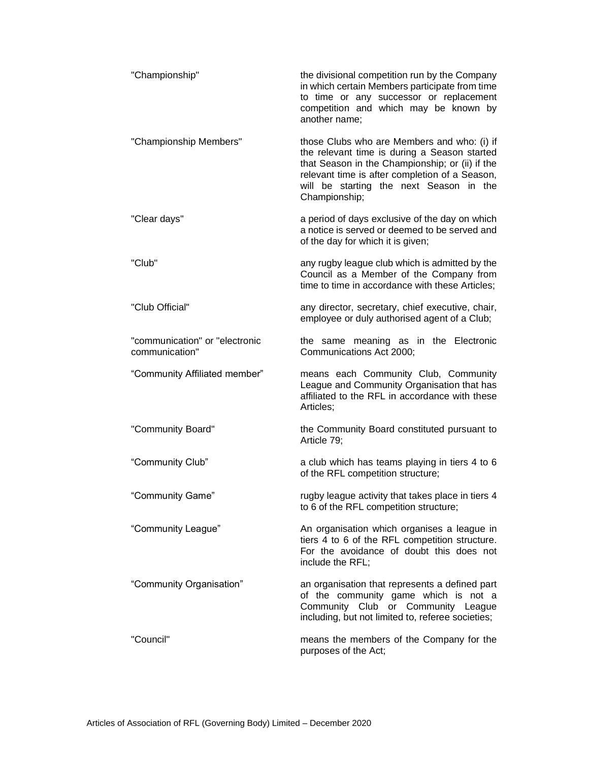| "Championship"                                   | the divisional competition run by the Company<br>in which certain Members participate from time<br>to time or any successor or replacement<br>competition and which may be known by<br>another name;                                                         |
|--------------------------------------------------|--------------------------------------------------------------------------------------------------------------------------------------------------------------------------------------------------------------------------------------------------------------|
| "Championship Members"                           | those Clubs who are Members and who: (i) if<br>the relevant time is during a Season started<br>that Season in the Championship; or (ii) if the<br>relevant time is after completion of a Season,<br>will be starting the next Season in the<br>Championship; |
| "Clear days"                                     | a period of days exclusive of the day on which<br>a notice is served or deemed to be served and<br>of the day for which it is given;                                                                                                                         |
| "Club"                                           | any rugby league club which is admitted by the<br>Council as a Member of the Company from<br>time to time in accordance with these Articles;                                                                                                                 |
| "Club Official"                                  | any director, secretary, chief executive, chair,<br>employee or duly authorised agent of a Club;                                                                                                                                                             |
| "communication" or "electronic<br>communication" | the same meaning as in the Electronic<br>Communications Act 2000;                                                                                                                                                                                            |
| "Community Affiliated member"                    | means each Community Club, Community<br>League and Community Organisation that has<br>affiliated to the RFL in accordance with these<br>Articles;                                                                                                            |
| "Community Board"                                | the Community Board constituted pursuant to<br>Article 79;                                                                                                                                                                                                   |
| "Community Club"                                 | a club which has teams playing in tiers 4 to 6<br>of the RFL competition structure;                                                                                                                                                                          |
| "Community Game"                                 | rugby league activity that takes place in tiers 4<br>to 6 of the RFL competition structure;                                                                                                                                                                  |
| "Community League"                               | An organisation which organises a league in<br>tiers 4 to 6 of the RFL competition structure.<br>For the avoidance of doubt this does not<br>include the RFL;                                                                                                |
| "Community Organisation"                         | an organisation that represents a defined part<br>of the community game which is not a<br>Community Club or Community League<br>including, but not limited to, referee societies;                                                                            |
| "Council"                                        | means the members of the Company for the<br>purposes of the Act;                                                                                                                                                                                             |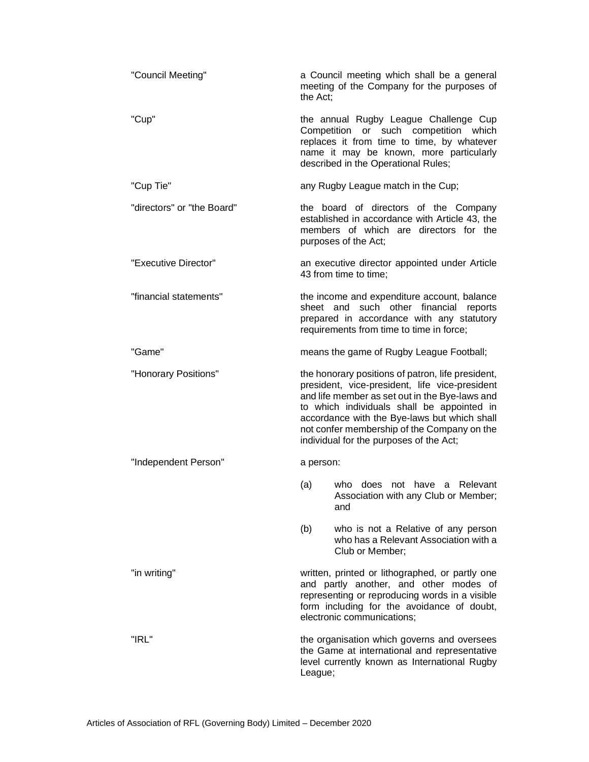| "Council Meeting"          | the Act;  | a Council meeting which shall be a general<br>meeting of the Company for the purposes of                                                                                                                                                                                                                                                      |
|----------------------------|-----------|-----------------------------------------------------------------------------------------------------------------------------------------------------------------------------------------------------------------------------------------------------------------------------------------------------------------------------------------------|
| "Cup"                      |           | the annual Rugby League Challenge Cup<br>Competition or such competition which<br>replaces it from time to time, by whatever<br>name it may be known, more particularly<br>described in the Operational Rules;                                                                                                                                |
| "Cup Tie"                  |           | any Rugby League match in the Cup;                                                                                                                                                                                                                                                                                                            |
| "directors" or "the Board" |           | the board of directors of the Company<br>established in accordance with Article 43, the<br>members of which are directors for the<br>purposes of the Act;                                                                                                                                                                                     |
| "Executive Director"       |           | an executive director appointed under Article<br>43 from time to time;                                                                                                                                                                                                                                                                        |
| "financial statements"     |           | the income and expenditure account, balance<br>sheet and such other financial reports<br>prepared in accordance with any statutory<br>requirements from time to time in force;                                                                                                                                                                |
| "Game"                     |           | means the game of Rugby League Football;                                                                                                                                                                                                                                                                                                      |
| "Honorary Positions"       |           | the honorary positions of patron, life president,<br>president, vice-president, life vice-president<br>and life member as set out in the Bye-laws and<br>to which individuals shall be appointed in<br>accordance with the Bye-laws but which shall<br>not confer membership of the Company on the<br>individual for the purposes of the Act; |
| "Independent Person"       | a person: |                                                                                                                                                                                                                                                                                                                                               |
|                            | (a)       | who does not have a Relevant<br>Association with any Club or Member;<br>and                                                                                                                                                                                                                                                                   |
|                            | (b)       | who is not a Relative of any person<br>who has a Relevant Association with a<br>Club or Member;                                                                                                                                                                                                                                               |
| "in writing"               |           | written, printed or lithographed, or partly one<br>and partly another, and other modes of<br>representing or reproducing words in a visible<br>form including for the avoidance of doubt,<br>electronic communications;                                                                                                                       |
| "IRL"                      | League;   | the organisation which governs and oversees<br>the Game at international and representative<br>level currently known as International Rugby                                                                                                                                                                                                   |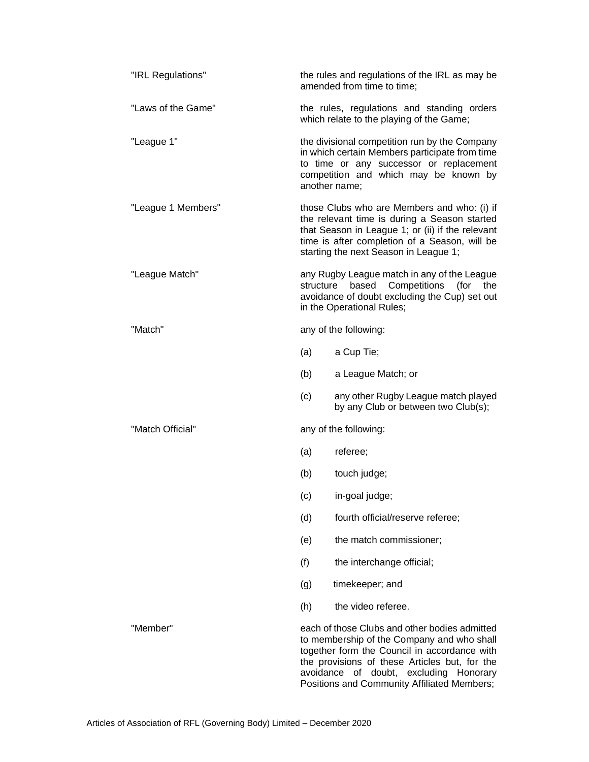| "IRL Regulations"  |           | the rules and regulations of the IRL as may be<br>amended from time to time;                                                                                                                                                                                                |
|--------------------|-----------|-----------------------------------------------------------------------------------------------------------------------------------------------------------------------------------------------------------------------------------------------------------------------------|
| "Laws of the Game" |           | the rules, regulations and standing orders<br>which relate to the playing of the Game;                                                                                                                                                                                      |
| "League 1"         |           | the divisional competition run by the Company<br>in which certain Members participate from time<br>to time or any successor or replacement<br>competition and which may be known by<br>another name;                                                                        |
| "League 1 Members" |           | those Clubs who are Members and who: (i) if<br>the relevant time is during a Season started<br>that Season in League 1; or (ii) if the relevant<br>time is after completion of a Season, will be<br>starting the next Season in League 1;                                   |
| "League Match"     | structure | any Rugby League match in any of the League<br>Competitions<br>based<br>(for<br>the<br>avoidance of doubt excluding the Cup) set out<br>in the Operational Rules;                                                                                                           |
| "Match"            |           | any of the following:                                                                                                                                                                                                                                                       |
|                    | (a)       | a Cup Tie;                                                                                                                                                                                                                                                                  |
|                    | (b)       | a League Match; or                                                                                                                                                                                                                                                          |
|                    | (c)       | any other Rugby League match played<br>by any Club or between two Club(s);                                                                                                                                                                                                  |
| "Match Official"   |           | any of the following:                                                                                                                                                                                                                                                       |
|                    | (a)       | referee;                                                                                                                                                                                                                                                                    |
|                    | (b)       | touch judge;                                                                                                                                                                                                                                                                |
|                    | (c)       | in-goal judge;                                                                                                                                                                                                                                                              |
|                    | (d)       | fourth official/reserve referee;                                                                                                                                                                                                                                            |
|                    | (e)       | the match commissioner;                                                                                                                                                                                                                                                     |
|                    | (f)       | the interchange official;                                                                                                                                                                                                                                                   |
|                    | (g)       | timekeeper; and                                                                                                                                                                                                                                                             |
|                    | (h)       | the video referee.                                                                                                                                                                                                                                                          |
| "Member"           | avoidance | each of those Clubs and other bodies admitted<br>to membership of the Company and who shall<br>together form the Council in accordance with<br>the provisions of these Articles but, for the<br>of doubt, excluding Honorary<br>Positions and Community Affiliated Members; |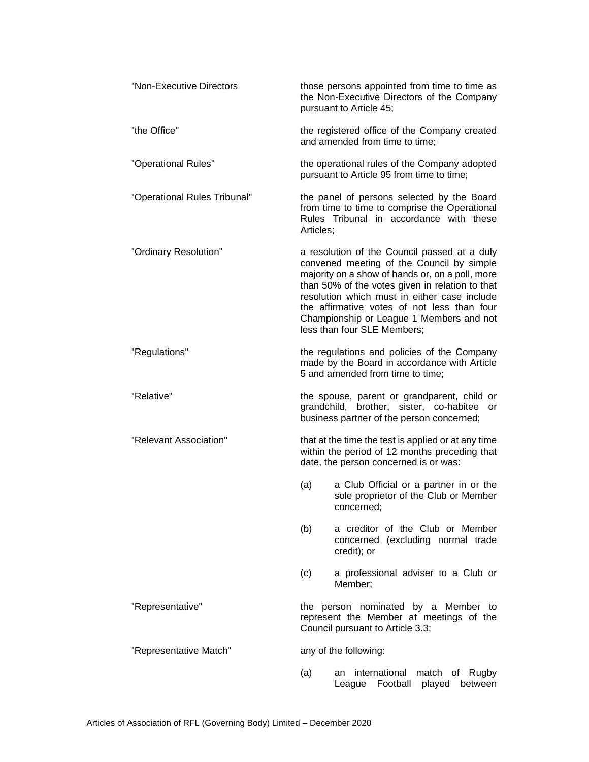| "Non-Executive Directors     | those persons appointed from time to time as<br>the Non-Executive Directors of the Company<br>pursuant to Article 45;                                                                                                                                                                                                                                                     |
|------------------------------|---------------------------------------------------------------------------------------------------------------------------------------------------------------------------------------------------------------------------------------------------------------------------------------------------------------------------------------------------------------------------|
| "the Office"                 | the registered office of the Company created<br>and amended from time to time;                                                                                                                                                                                                                                                                                            |
| "Operational Rules"          | the operational rules of the Company adopted<br>pursuant to Article 95 from time to time;                                                                                                                                                                                                                                                                                 |
| "Operational Rules Tribunal" | the panel of persons selected by the Board<br>from time to time to comprise the Operational<br>Rules Tribunal in accordance with these<br>Articles:                                                                                                                                                                                                                       |
| "Ordinary Resolution"        | a resolution of the Council passed at a duly<br>convened meeting of the Council by simple<br>majority on a show of hands or, on a poll, more<br>than 50% of the votes given in relation to that<br>resolution which must in either case include<br>the affirmative votes of not less than four<br>Championship or League 1 Members and not<br>less than four SLE Members; |
| "Regulations"                | the regulations and policies of the Company<br>made by the Board in accordance with Article<br>5 and amended from time to time;                                                                                                                                                                                                                                           |
| "Relative"                   | the spouse, parent or grandparent, child or<br>grandchild, brother, sister, co-habitee<br>or<br>business partner of the person concerned;                                                                                                                                                                                                                                 |
| "Relevant Association"       | that at the time the test is applied or at any time<br>within the period of 12 months preceding that<br>date, the person concerned is or was:                                                                                                                                                                                                                             |
|                              | (a)<br>a Club Official or a partner in or the<br>sole proprietor of the Club or Member<br>concerned;                                                                                                                                                                                                                                                                      |
|                              | (b)<br>a creditor of the Club or Member<br>concerned (excluding normal trade<br>credit); or                                                                                                                                                                                                                                                                               |
|                              | (c)<br>a professional adviser to a Club or<br>Member;                                                                                                                                                                                                                                                                                                                     |
| "Representative"             | the person nominated by a Member to<br>represent the Member at meetings of the<br>Council pursuant to Article 3.3;                                                                                                                                                                                                                                                        |
| "Representative Match"       | any of the following:                                                                                                                                                                                                                                                                                                                                                     |
|                              | international<br>match of Rugby<br>(a)<br>an<br>Football<br>played<br>between<br>League                                                                                                                                                                                                                                                                                   |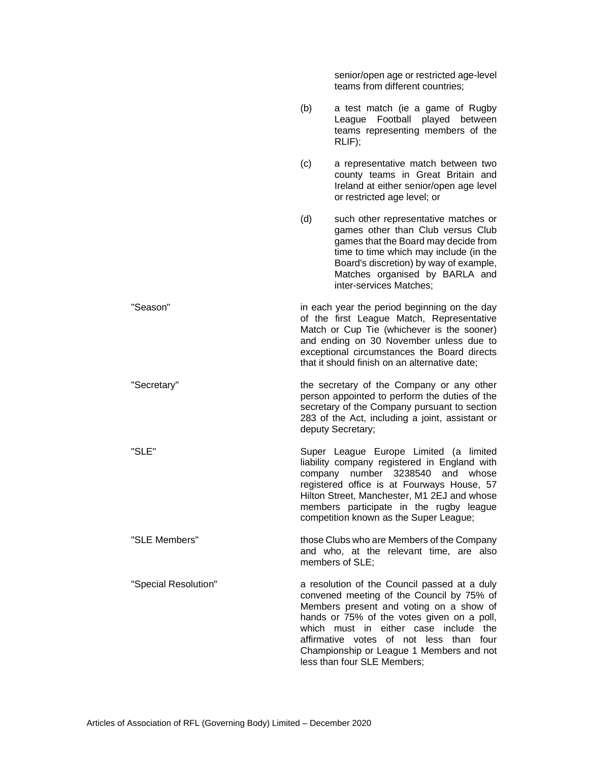senior/open age or restricted age-level teams from different countries; (b) a test match (ie a game of Rugby League Football played between teams representing members of the RLIF); (c) a representative match between two county teams in Great Britain and Ireland at either senior/open age level or restricted age level; or (d) such other representative matches or games other than Club versus Club games that the Board may decide from time to time which may include (in the Board's discretion) by way of example, Matches organised by BARLA and inter-services Matches; "Season" in each year the period beginning on the day of the first League Match, Representative Match or Cup Tie (whichever is the sooner) and ending on 30 November unless due to exceptional circumstances the Board directs that it should finish on an alternative date; "Secretary" the secretary of the Company or any other person appointed to perform the duties of the secretary of the Company pursuant to section 283 of the Act, including a joint, assistant or deputy Secretary; "SLE" Super League Europe Limited (a limited liability company registered in England with company number 3238540 and whose registered office is at Fourways House, 57 Hilton Street, Manchester, M1 2EJ and whose members participate in the rugby league competition known as the Super League; "SLE Members" those Clubs who are Members of the Company and who, at the relevant time, are also members of SLE; "Special Resolution" a resolution of the Council passed at a duly convened meeting of the Council by 75% of Members present and voting on a show of hands or 75% of the votes given on a poll, which must in either case include the affirmative votes of not less than four Championship or League 1 Members and not less than four SLE Members;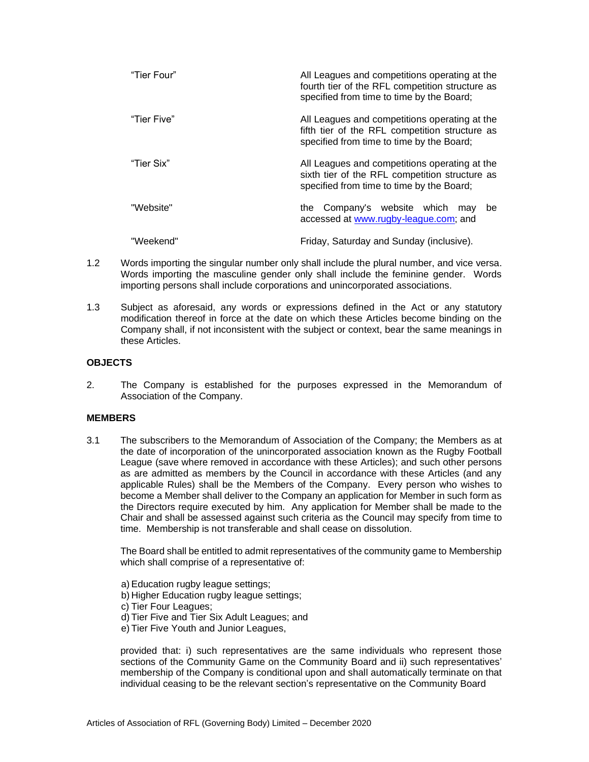| "Tier Four" | All Leagues and competitions operating at the<br>fourth tier of the RFL competition structure as<br>specified from time to time by the Board; |
|-------------|-----------------------------------------------------------------------------------------------------------------------------------------------|
| "Tier Five" | All Leagues and competitions operating at the<br>fifth tier of the RFL competition structure as<br>specified from time to time by the Board;  |
| "Tier Six"  | All Leagues and competitions operating at the<br>sixth tier of the RFL competition structure as<br>specified from time to time by the Board;  |
| "Website"   | Company's website which<br>the<br>be<br>may<br>accessed at www.rugby-league.com; and                                                          |
| "Weekend"   | Friday, Saturday and Sunday (inclusive).                                                                                                      |

- 1.2 Words importing the singular number only shall include the plural number, and vice versa. Words importing the masculine gender only shall include the feminine gender. Words importing persons shall include corporations and unincorporated associations.
- 1.3 Subject as aforesaid, any words or expressions defined in the Act or any statutory modification thereof in force at the date on which these Articles become binding on the Company shall, if not inconsistent with the subject or context, bear the same meanings in these Articles.

# **OBJECTS**

2. The Company is established for the purposes expressed in the Memorandum of Association of the Company.

# **MEMBERS**

3.1 The subscribers to the Memorandum of Association of the Company; the Members as at the date of incorporation of the unincorporated association known as the Rugby Football League (save where removed in accordance with these Articles); and such other persons as are admitted as members by the Council in accordance with these Articles (and any applicable Rules) shall be the Members of the Company. Every person who wishes to become a Member shall deliver to the Company an application for Member in such form as the Directors require executed by him. Any application for Member shall be made to the Chair and shall be assessed against such criteria as the Council may specify from time to time. Membership is not transferable and shall cease on dissolution.

The Board shall be entitled to admit representatives of the community game to Membership which shall comprise of a representative of:

- a) Education rugby league settings;
- b) Higher Education rugby league settings;
- c) Tier Four Leagues;
- d) Tier Five and Tier Six Adult Leagues; and
- e) Tier Five Youth and Junior Leagues,

provided that: i) such representatives are the same individuals who represent those sections of the Community Game on the Community Board and ii) such representatives' membership of the Company is conditional upon and shall automatically terminate on that individual ceasing to be the relevant section's representative on the Community Board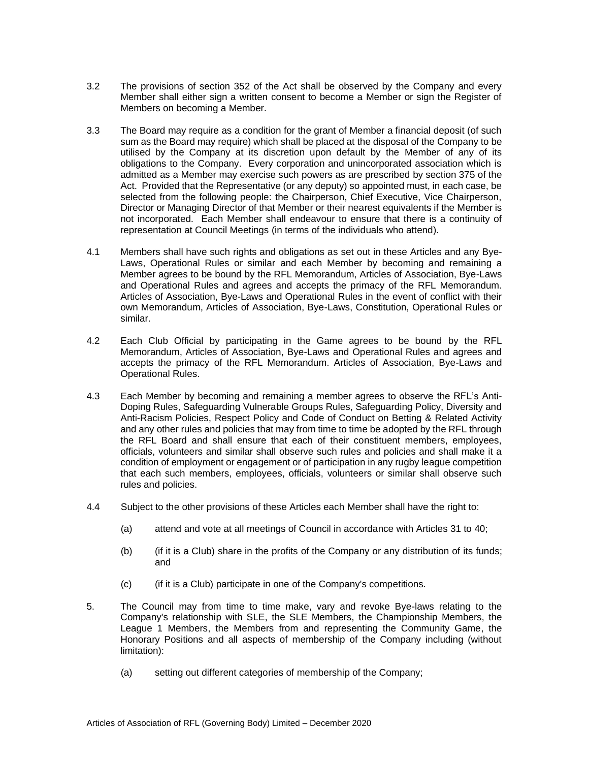- 3.2 The provisions of section 352 of the Act shall be observed by the Company and every Member shall either sign a written consent to become a Member or sign the Register of Members on becoming a Member.
- 3.3 The Board may require as a condition for the grant of Member a financial deposit (of such sum as the Board may require) which shall be placed at the disposal of the Company to be utilised by the Company at its discretion upon default by the Member of any of its obligations to the Company. Every corporation and unincorporated association which is admitted as a Member may exercise such powers as are prescribed by section 375 of the Act. Provided that the Representative (or any deputy) so appointed must, in each case, be selected from the following people: the Chairperson, Chief Executive, Vice Chairperson, Director or Managing Director of that Member or their nearest equivalents if the Member is not incorporated. Each Member shall endeavour to ensure that there is a continuity of representation at Council Meetings (in terms of the individuals who attend).
- 4.1 Members shall have such rights and obligations as set out in these Articles and any Bye-Laws, Operational Rules or similar and each Member by becoming and remaining a Member agrees to be bound by the RFL Memorandum, Articles of Association, Bye-Laws and Operational Rules and agrees and accepts the primacy of the RFL Memorandum. Articles of Association, Bye-Laws and Operational Rules in the event of conflict with their own Memorandum, Articles of Association, Bye-Laws, Constitution, Operational Rules or similar.
- 4.2 Each Club Official by participating in the Game agrees to be bound by the RFL Memorandum, Articles of Association, Bye-Laws and Operational Rules and agrees and accepts the primacy of the RFL Memorandum. Articles of Association, Bye-Laws and Operational Rules.
- 4.3 Each Member by becoming and remaining a member agrees to observe the RFL's Anti-Doping Rules, Safeguarding Vulnerable Groups Rules, Safeguarding Policy, Diversity and Anti-Racism Policies, Respect Policy and Code of Conduct on Betting & Related Activity and any other rules and policies that may from time to time be adopted by the RFL through the RFL Board and shall ensure that each of their constituent members, employees, officials, volunteers and similar shall observe such rules and policies and shall make it a condition of employment or engagement or of participation in any rugby league competition that each such members, employees, officials, volunteers or similar shall observe such rules and policies.
- 4.4 Subject to the other provisions of these Articles each Member shall have the right to:
	- (a) attend and vote at all meetings of Council in accordance with Articles 31 to 40;
	- (b) (if it is a Club) share in the profits of the Company or any distribution of its funds; and
	- (c) (if it is a Club) participate in one of the Company's competitions.
- 5. The Council may from time to time make, vary and revoke Bye-laws relating to the Company's relationship with SLE, the SLE Members, the Championship Members, the League 1 Members, the Members from and representing the Community Game, the Honorary Positions and all aspects of membership of the Company including (without limitation):
	- (a) setting out different categories of membership of the Company;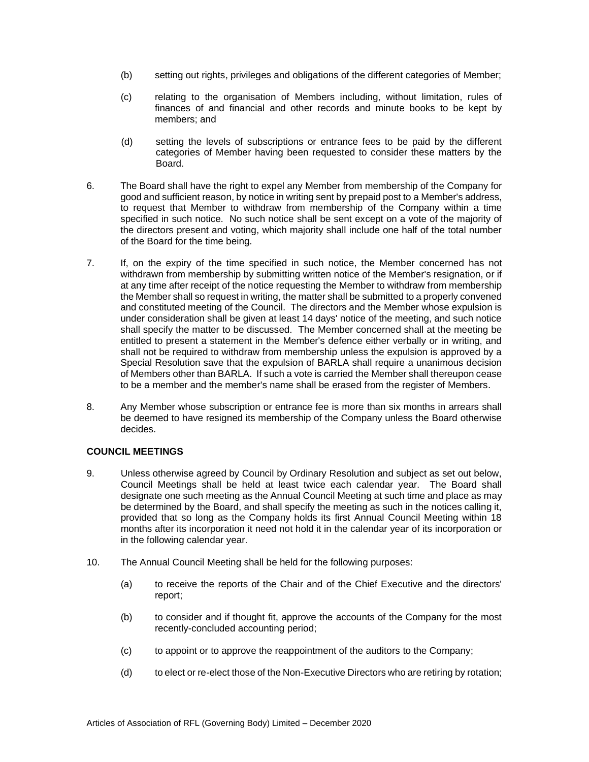- (b) setting out rights, privileges and obligations of the different categories of Member;
- (c) relating to the organisation of Members including, without limitation, rules of finances of and financial and other records and minute books to be kept by members; and
- (d) setting the levels of subscriptions or entrance fees to be paid by the different categories of Member having been requested to consider these matters by the Board.
- 6. The Board shall have the right to expel any Member from membership of the Company for good and sufficient reason, by notice in writing sent by prepaid post to a Member's address, to request that Member to withdraw from membership of the Company within a time specified in such notice. No such notice shall be sent except on a vote of the majority of the directors present and voting, which majority shall include one half of the total number of the Board for the time being.
- 7. If, on the expiry of the time specified in such notice, the Member concerned has not withdrawn from membership by submitting written notice of the Member's resignation, or if at any time after receipt of the notice requesting the Member to withdraw from membership the Member shall so request in writing, the matter shall be submitted to a properly convened and constituted meeting of the Council. The directors and the Member whose expulsion is under consideration shall be given at least 14 days' notice of the meeting, and such notice shall specify the matter to be discussed. The Member concerned shall at the meeting be entitled to present a statement in the Member's defence either verbally or in writing, and shall not be required to withdraw from membership unless the expulsion is approved by a Special Resolution save that the expulsion of BARLA shall require a unanimous decision of Members other than BARLA. If such a vote is carried the Member shall thereupon cease to be a member and the member's name shall be erased from the register of Members.
- 8. Any Member whose subscription or entrance fee is more than six months in arrears shall be deemed to have resigned its membership of the Company unless the Board otherwise decides.

# **COUNCIL MEETINGS**

- 9. Unless otherwise agreed by Council by Ordinary Resolution and subject as set out below, Council Meetings shall be held at least twice each calendar year. The Board shall designate one such meeting as the Annual Council Meeting at such time and place as may be determined by the Board, and shall specify the meeting as such in the notices calling it, provided that so long as the Company holds its first Annual Council Meeting within 18 months after its incorporation it need not hold it in the calendar year of its incorporation or in the following calendar year.
- 10. The Annual Council Meeting shall be held for the following purposes:
	- (a) to receive the reports of the Chair and of the Chief Executive and the directors' report;
	- (b) to consider and if thought fit, approve the accounts of the Company for the most recently-concluded accounting period;
	- (c) to appoint or to approve the reappointment of the auditors to the Company;
	- (d) to elect or re-elect those of the Non-Executive Directors who are retiring by rotation;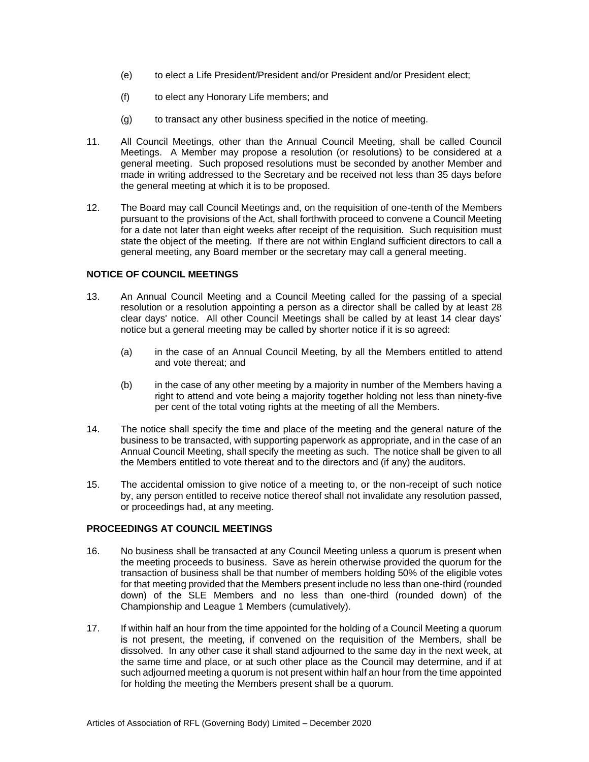- (e) to elect a Life President/President and/or President and/or President elect;
- (f) to elect any Honorary Life members; and
- (g) to transact any other business specified in the notice of meeting.
- 11. All Council Meetings, other than the Annual Council Meeting, shall be called Council Meetings. A Member may propose a resolution (or resolutions) to be considered at a general meeting. Such proposed resolutions must be seconded by another Member and made in writing addressed to the Secretary and be received not less than 35 days before the general meeting at which it is to be proposed.
- 12. The Board may call Council Meetings and, on the requisition of one-tenth of the Members pursuant to the provisions of the Act, shall forthwith proceed to convene a Council Meeting for a date not later than eight weeks after receipt of the requisition. Such requisition must state the object of the meeting. If there are not within England sufficient directors to call a general meeting, any Board member or the secretary may call a general meeting.

#### **NOTICE OF COUNCIL MEETINGS**

- 13. An Annual Council Meeting and a Council Meeting called for the passing of a special resolution or a resolution appointing a person as a director shall be called by at least 28 clear days' notice. All other Council Meetings shall be called by at least 14 clear days' notice but a general meeting may be called by shorter notice if it is so agreed:
	- (a) in the case of an Annual Council Meeting, by all the Members entitled to attend and vote thereat; and
	- (b) in the case of any other meeting by a majority in number of the Members having a right to attend and vote being a majority together holding not less than ninety-five per cent of the total voting rights at the meeting of all the Members.
- 14. The notice shall specify the time and place of the meeting and the general nature of the business to be transacted, with supporting paperwork as appropriate, and in the case of an Annual Council Meeting, shall specify the meeting as such. The notice shall be given to all the Members entitled to vote thereat and to the directors and (if any) the auditors.
- 15. The accidental omission to give notice of a meeting to, or the non-receipt of such notice by, any person entitled to receive notice thereof shall not invalidate any resolution passed, or proceedings had, at any meeting.

# **PROCEEDINGS AT COUNCIL MEETINGS**

- 16. No business shall be transacted at any Council Meeting unless a quorum is present when the meeting proceeds to business. Save as herein otherwise provided the quorum for the transaction of business shall be that number of members holding 50% of the eligible votes for that meeting provided that the Members present include no less than one-third (rounded down) of the SLE Members and no less than one-third (rounded down) of the Championship and League 1 Members (cumulatively).
- 17. If within half an hour from the time appointed for the holding of a Council Meeting a quorum is not present, the meeting, if convened on the requisition of the Members, shall be dissolved. In any other case it shall stand adjourned to the same day in the next week, at the same time and place, or at such other place as the Council may determine, and if at such adjourned meeting a quorum is not present within half an hour from the time appointed for holding the meeting the Members present shall be a quorum.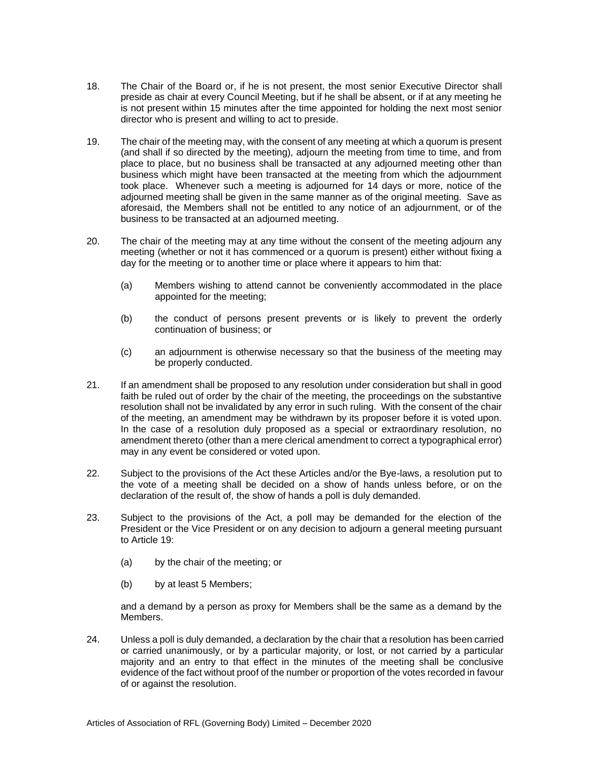- 18. The Chair of the Board or, if he is not present, the most senior Executive Director shall preside as chair at every Council Meeting, but if he shall be absent, or if at any meeting he is not present within 15 minutes after the time appointed for holding the next most senior director who is present and willing to act to preside.
- 19. The chair of the meeting may, with the consent of any meeting at which a quorum is present (and shall if so directed by the meeting), adjourn the meeting from time to time, and from place to place, but no business shall be transacted at any adjourned meeting other than business which might have been transacted at the meeting from which the adjournment took place. Whenever such a meeting is adjourned for 14 days or more, notice of the adjourned meeting shall be given in the same manner as of the original meeting. Save as aforesaid, the Members shall not be entitled to any notice of an adjournment, or of the business to be transacted at an adjourned meeting.
- 20. The chair of the meeting may at any time without the consent of the meeting adjourn any meeting (whether or not it has commenced or a quorum is present) either without fixing a day for the meeting or to another time or place where it appears to him that:
	- (a) Members wishing to attend cannot be conveniently accommodated in the place appointed for the meeting;
	- (b) the conduct of persons present prevents or is likely to prevent the orderly continuation of business; or
	- (c) an adjournment is otherwise necessary so that the business of the meeting may be properly conducted.
- 21. If an amendment shall be proposed to any resolution under consideration but shall in good faith be ruled out of order by the chair of the meeting, the proceedings on the substantive resolution shall not be invalidated by any error in such ruling. With the consent of the chair of the meeting, an amendment may be withdrawn by its proposer before it is voted upon. In the case of a resolution duly proposed as a special or extraordinary resolution, no amendment thereto (other than a mere clerical amendment to correct a typographical error) may in any event be considered or voted upon.
- 22. Subject to the provisions of the Act these Articles and/or the Bye-laws, a resolution put to the vote of a meeting shall be decided on a show of hands unless before, or on the declaration of the result of, the show of hands a poll is duly demanded.
- 23. Subject to the provisions of the Act, a poll may be demanded for the election of the President or the Vice President or on any decision to adjourn a general meeting pursuant to Article 19:
	- (a) by the chair of the meeting; or
	- (b) by at least 5 Members;

and a demand by a person as proxy for Members shall be the same as a demand by the Members.

24. Unless a poll is duly demanded, a declaration by the chair that a resolution has been carried or carried unanimously, or by a particular majority, or lost, or not carried by a particular majority and an entry to that effect in the minutes of the meeting shall be conclusive evidence of the fact without proof of the number or proportion of the votes recorded in favour of or against the resolution.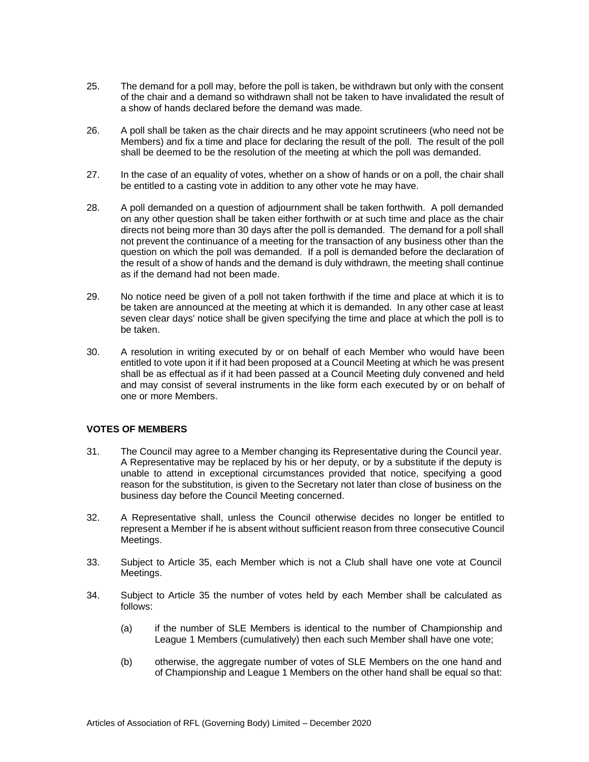- 25. The demand for a poll may, before the poll is taken, be withdrawn but only with the consent of the chair and a demand so withdrawn shall not be taken to have invalidated the result of a show of hands declared before the demand was made.
- 26. A poll shall be taken as the chair directs and he may appoint scrutineers (who need not be Members) and fix a time and place for declaring the result of the poll. The result of the poll shall be deemed to be the resolution of the meeting at which the poll was demanded.
- 27. In the case of an equality of votes, whether on a show of hands or on a poll, the chair shall be entitled to a casting vote in addition to any other vote he may have.
- 28. A poll demanded on a question of adjournment shall be taken forthwith. A poll demanded on any other question shall be taken either forthwith or at such time and place as the chair directs not being more than 30 days after the poll is demanded. The demand for a poll shall not prevent the continuance of a meeting for the transaction of any business other than the question on which the poll was demanded. If a poll is demanded before the declaration of the result of a show of hands and the demand is duly withdrawn, the meeting shall continue as if the demand had not been made.
- 29. No notice need be given of a poll not taken forthwith if the time and place at which it is to be taken are announced at the meeting at which it is demanded. In any other case at least seven clear days' notice shall be given specifying the time and place at which the poll is to be taken.
- 30. A resolution in writing executed by or on behalf of each Member who would have been entitled to vote upon it if it had been proposed at a Council Meeting at which he was present shall be as effectual as if it had been passed at a Council Meeting duly convened and held and may consist of several instruments in the like form each executed by or on behalf of one or more Members.

# **VOTES OF MEMBERS**

- 31. The Council may agree to a Member changing its Representative during the Council year. A Representative may be replaced by his or her deputy, or by a substitute if the deputy is unable to attend in exceptional circumstances provided that notice, specifying a good reason for the substitution, is given to the Secretary not later than close of business on the business day before the Council Meeting concerned.
- 32. A Representative shall, unless the Council otherwise decides no longer be entitled to represent a Member if he is absent without sufficient reason from three consecutive Council Meetings.
- 33. Subject to Article 35, each Member which is not a Club shall have one vote at Council Meetings.
- 34. Subject to Article 35 the number of votes held by each Member shall be calculated as follows:
	- (a) if the number of SLE Members is identical to the number of Championship and League 1 Members (cumulatively) then each such Member shall have one vote;
	- (b) otherwise, the aggregate number of votes of SLE Members on the one hand and of Championship and League 1 Members on the other hand shall be equal so that: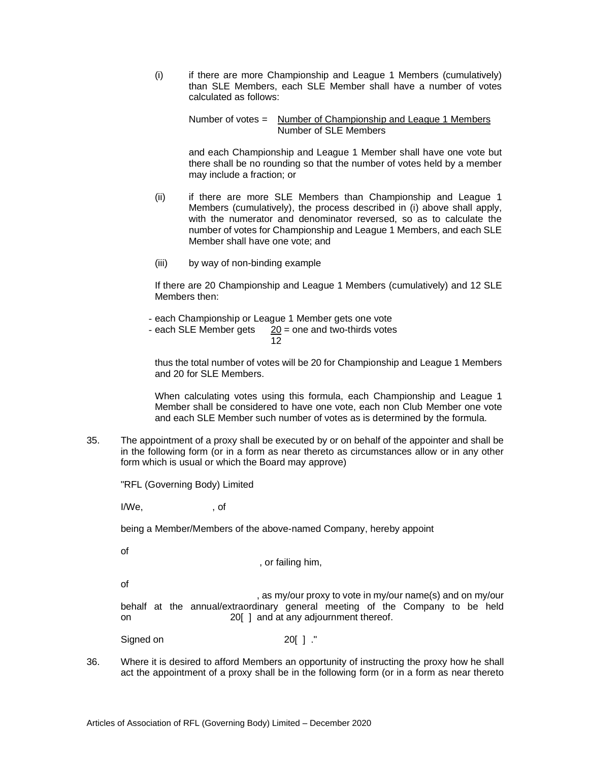(i) if there are more Championship and League 1 Members (cumulatively) than SLE Members, each SLE Member shall have a number of votes calculated as follows:

Number of votes = Number of Championship and League 1 Members Number of SLE Members

and each Championship and League 1 Member shall have one vote but there shall be no rounding so that the number of votes held by a member may include a fraction; or

- (ii) if there are more SLE Members than Championship and League 1 Members (cumulatively), the process described in (i) above shall apply, with the numerator and denominator reversed, so as to calculate the number of votes for Championship and League 1 Members, and each SLE Member shall have one vote; and
- (iii) by way of non-binding example

If there are 20 Championship and League 1 Members (cumulatively) and 12 SLE Members then:

- each Championship or League 1 Member gets one vote

- each SLE Member gets  $20 =$  one and two-thirds votes

12

thus the total number of votes will be 20 for Championship and League 1 Members and 20 for SLE Members.

When calculating votes using this formula, each Championship and League 1 Member shall be considered to have one vote, each non Club Member one vote and each SLE Member such number of votes as is determined by the formula.

35. The appointment of a proxy shall be executed by or on behalf of the appointer and shall be in the following form (or in a form as near thereto as circumstances allow or in any other form which is usual or which the Board may approve)

"RFL (Governing Body) Limited

I/We, cf

being a Member/Members of the above-named Company, hereby appoint

of

, or failing him,

of

 , as my/our proxy to vote in my/our name(s) and on my/our behalf at the annual/extraordinary general meeting of the Company to be held on 20[ ] and at any adjournment thereof.

Signed on 20[ ]."

36. Where it is desired to afford Members an opportunity of instructing the proxy how he shall act the appointment of a proxy shall be in the following form (or in a form as near thereto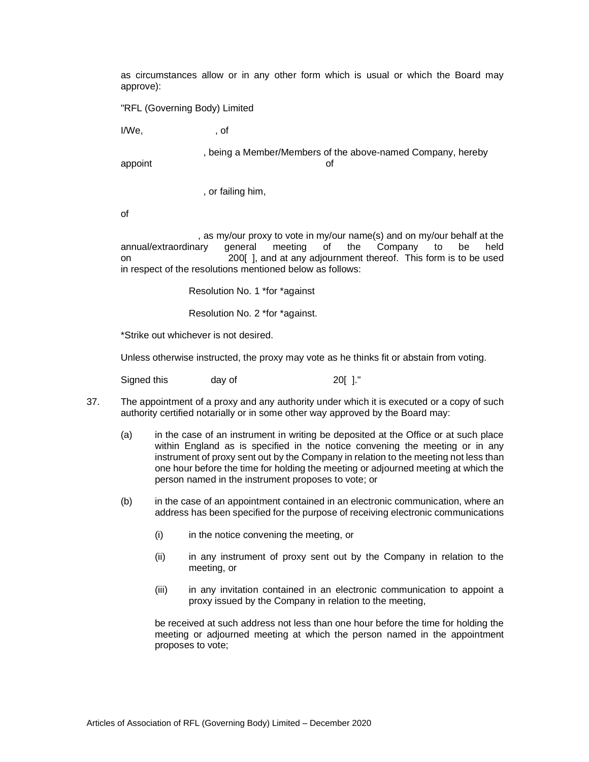as circumstances allow or in any other form which is usual or which the Board may approve):

"RFL (Governing Body) Limited

I/We, the contract of

 , being a Member/Members of the above-named Company, hereby appoint of the contract of the contract of the contract of the contract of the contract of the contract of the contract of the contract of the contract of the contract of the contract of the contract of the contract of the

, or failing him,

of

 , as my/our proxy to vote in my/our name(s) and on my/our behalf at the annual/extraordinary general meeting of the Company to be held on 200[ ], and at any adjournment thereof. This form is to be used in respect of the resolutions mentioned below as follows:

Resolution No. 1 \*for \*against

Resolution No. 2 \*for \*against.

\*Strike out whichever is not desired.

Unless otherwise instructed, the proxy may vote as he thinks fit or abstain from voting.

| Signed this | day of | 20[]." |
|-------------|--------|--------|
|             |        |        |

- 37. The appointment of a proxy and any authority under which it is executed or a copy of such authority certified notarially or in some other way approved by the Board may:
	- (a) in the case of an instrument in writing be deposited at the Office or at such place within England as is specified in the notice convening the meeting or in any instrument of proxy sent out by the Company in relation to the meeting not less than one hour before the time for holding the meeting or adjourned meeting at which the person named in the instrument proposes to vote; or
	- (b) in the case of an appointment contained in an electronic communication, where an address has been specified for the purpose of receiving electronic communications
		- (i) in the notice convening the meeting, or
		- (ii) in any instrument of proxy sent out by the Company in relation to the meeting, or
		- (iii) in any invitation contained in an electronic communication to appoint a proxy issued by the Company in relation to the meeting,

be received at such address not less than one hour before the time for holding the meeting or adjourned meeting at which the person named in the appointment proposes to vote;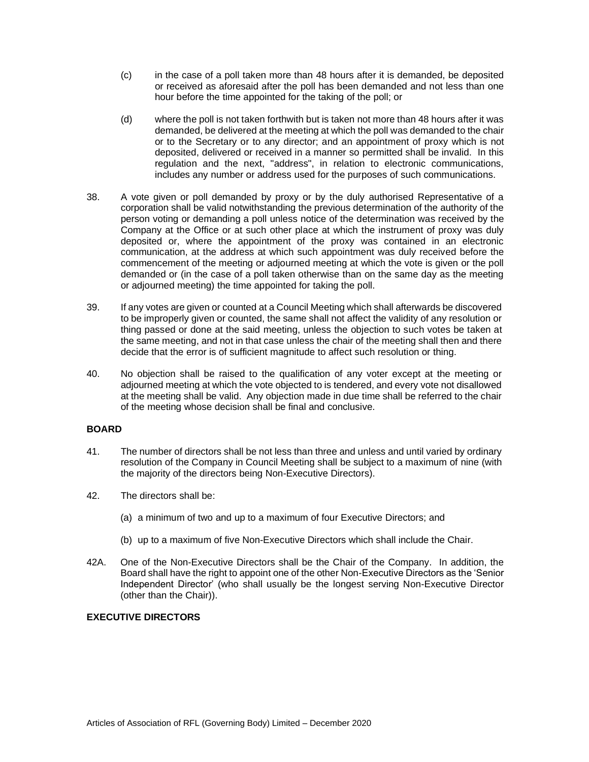- (c) in the case of a poll taken more than 48 hours after it is demanded, be deposited or received as aforesaid after the poll has been demanded and not less than one hour before the time appointed for the taking of the poll; or
- (d) where the poll is not taken forthwith but is taken not more than 48 hours after it was demanded, be delivered at the meeting at which the poll was demanded to the chair or to the Secretary or to any director; and an appointment of proxy which is not deposited, delivered or received in a manner so permitted shall be invalid. In this regulation and the next, "address", in relation to electronic communications, includes any number or address used for the purposes of such communications.
- 38. A vote given or poll demanded by proxy or by the duly authorised Representative of a corporation shall be valid notwithstanding the previous determination of the authority of the person voting or demanding a poll unless notice of the determination was received by the Company at the Office or at such other place at which the instrument of proxy was duly deposited or, where the appointment of the proxy was contained in an electronic communication, at the address at which such appointment was duly received before the commencement of the meeting or adjourned meeting at which the vote is given or the poll demanded or (in the case of a poll taken otherwise than on the same day as the meeting or adjourned meeting) the time appointed for taking the poll.
- 39. If any votes are given or counted at a Council Meeting which shall afterwards be discovered to be improperly given or counted, the same shall not affect the validity of any resolution or thing passed or done at the said meeting, unless the objection to such votes be taken at the same meeting, and not in that case unless the chair of the meeting shall then and there decide that the error is of sufficient magnitude to affect such resolution or thing.
- 40. No objection shall be raised to the qualification of any voter except at the meeting or adjourned meeting at which the vote objected to is tendered, and every vote not disallowed at the meeting shall be valid. Any objection made in due time shall be referred to the chair of the meeting whose decision shall be final and conclusive.

# **BOARD**

- 41. The number of directors shall be not less than three and unless and until varied by ordinary resolution of the Company in Council Meeting shall be subject to a maximum of nine (with the majority of the directors being Non-Executive Directors).
- 42. The directors shall be:
	- (a) a minimum of two and up to a maximum of four Executive Directors; and
	- (b) up to a maximum of five Non-Executive Directors which shall include the Chair.
- 42A. One of the Non-Executive Directors shall be the Chair of the Company. In addition, the Board shall have the right to appoint one of the other Non-Executive Directors as the 'Senior Independent Director' (who shall usually be the longest serving Non-Executive Director (other than the Chair)).

# **EXECUTIVE DIRECTORS**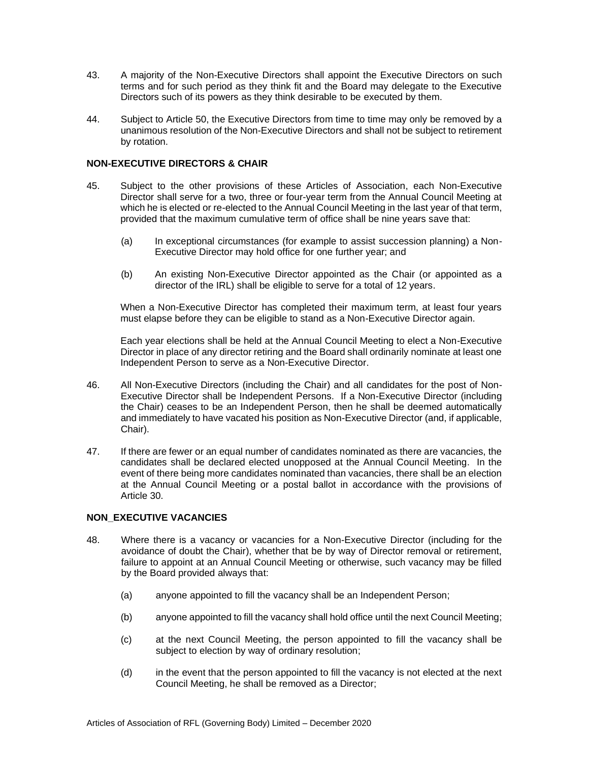- 43. A majority of the Non-Executive Directors shall appoint the Executive Directors on such terms and for such period as they think fit and the Board may delegate to the Executive Directors such of its powers as they think desirable to be executed by them.
- 44. Subject to Article 50, the Executive Directors from time to time may only be removed by a unanimous resolution of the Non-Executive Directors and shall not be subject to retirement by rotation.

### **NON-EXECUTIVE DIRECTORS & CHAIR**

- 45. Subject to the other provisions of these Articles of Association, each Non-Executive Director shall serve for a two, three or four-year term from the Annual Council Meeting at which he is elected or re-elected to the Annual Council Meeting in the last year of that term, provided that the maximum cumulative term of office shall be nine years save that:
	- (a) In exceptional circumstances (for example to assist succession planning) a Non-Executive Director may hold office for one further year; and
	- (b) An existing Non-Executive Director appointed as the Chair (or appointed as a director of the IRL) shall be eligible to serve for a total of 12 years.

When a Non-Executive Director has completed their maximum term, at least four years must elapse before they can be eligible to stand as a Non-Executive Director again.

Each year elections shall be held at the Annual Council Meeting to elect a Non-Executive Director in place of any director retiring and the Board shall ordinarily nominate at least one Independent Person to serve as a Non-Executive Director.

- 46. All Non-Executive Directors (including the Chair) and all candidates for the post of Non-Executive Director shall be Independent Persons. If a Non-Executive Director (including the Chair) ceases to be an Independent Person, then he shall be deemed automatically and immediately to have vacated his position as Non-Executive Director (and, if applicable, Chair).
- 47. If there are fewer or an equal number of candidates nominated as there are vacancies, the candidates shall be declared elected unopposed at the Annual Council Meeting. In the event of there being more candidates nominated than vacancies, there shall be an election at the Annual Council Meeting or a postal ballot in accordance with the provisions of Article 30.

### **NON\_EXECUTIVE VACANCIES**

- 48. Where there is a vacancy or vacancies for a Non-Executive Director (including for the avoidance of doubt the Chair), whether that be by way of Director removal or retirement, failure to appoint at an Annual Council Meeting or otherwise, such vacancy may be filled by the Board provided always that:
	- (a) anyone appointed to fill the vacancy shall be an Independent Person;
	- (b) anyone appointed to fill the vacancy shall hold office until the next Council Meeting;
	- (c) at the next Council Meeting, the person appointed to fill the vacancy shall be subject to election by way of ordinary resolution;
	- (d) in the event that the person appointed to fill the vacancy is not elected at the next Council Meeting, he shall be removed as a Director;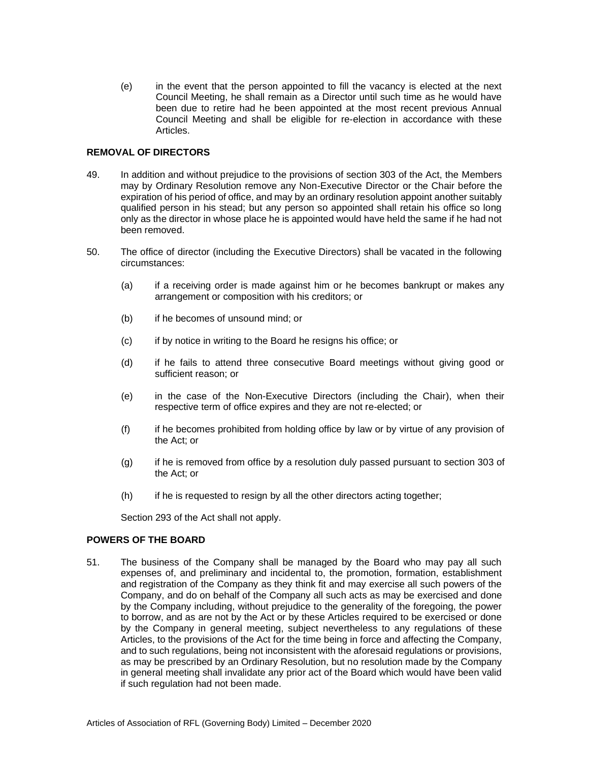(e) in the event that the person appointed to fill the vacancy is elected at the next Council Meeting, he shall remain as a Director until such time as he would have been due to retire had he been appointed at the most recent previous Annual Council Meeting and shall be eligible for re-election in accordance with these Articles.

### **REMOVAL OF DIRECTORS**

- 49. In addition and without prejudice to the provisions of section 303 of the Act, the Members may by Ordinary Resolution remove any Non-Executive Director or the Chair before the expiration of his period of office, and may by an ordinary resolution appoint another suitably qualified person in his stead; but any person so appointed shall retain his office so long only as the director in whose place he is appointed would have held the same if he had not been removed.
- 50. The office of director (including the Executive Directors) shall be vacated in the following circumstances:
	- (a) if a receiving order is made against him or he becomes bankrupt or makes any arrangement or composition with his creditors; or
	- (b) if he becomes of unsound mind; or
	- (c) if by notice in writing to the Board he resigns his office; or
	- (d) if he fails to attend three consecutive Board meetings without giving good or sufficient reason; or
	- (e) in the case of the Non-Executive Directors (including the Chair), when their respective term of office expires and they are not re-elected; or
	- (f) if he becomes prohibited from holding office by law or by virtue of any provision of the Act; or
	- (g) if he is removed from office by a resolution duly passed pursuant to section 303 of the Act; or
	- (h) if he is requested to resign by all the other directors acting together;

Section 293 of the Act shall not apply.

### **POWERS OF THE BOARD**

51. The business of the Company shall be managed by the Board who may pay all such expenses of, and preliminary and incidental to, the promotion, formation, establishment and registration of the Company as they think fit and may exercise all such powers of the Company, and do on behalf of the Company all such acts as may be exercised and done by the Company including, without prejudice to the generality of the foregoing, the power to borrow, and as are not by the Act or by these Articles required to be exercised or done by the Company in general meeting, subject nevertheless to any regulations of these Articles, to the provisions of the Act for the time being in force and affecting the Company, and to such regulations, being not inconsistent with the aforesaid regulations or provisions, as may be prescribed by an Ordinary Resolution, but no resolution made by the Company in general meeting shall invalidate any prior act of the Board which would have been valid if such regulation had not been made.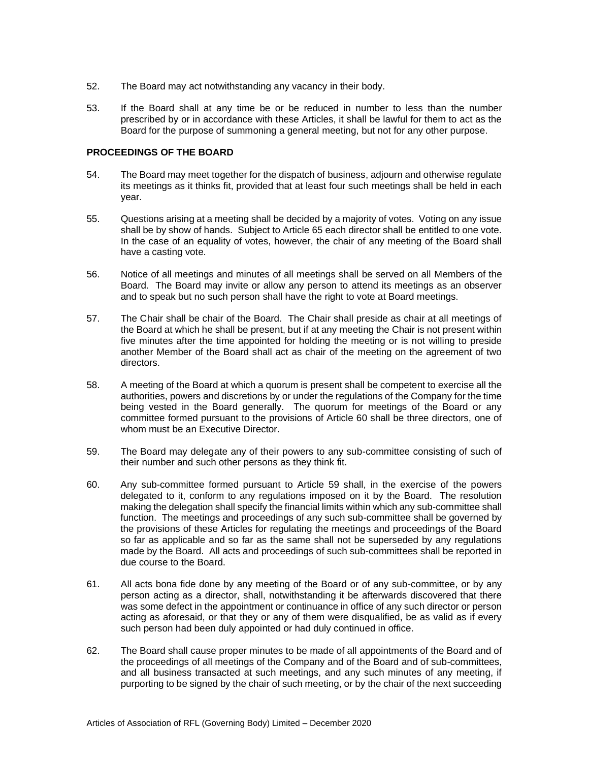- 52. The Board may act notwithstanding any vacancy in their body.
- 53. If the Board shall at any time be or be reduced in number to less than the number prescribed by or in accordance with these Articles, it shall be lawful for them to act as the Board for the purpose of summoning a general meeting, but not for any other purpose.

#### **PROCEEDINGS OF THE BOARD**

- 54. The Board may meet together for the dispatch of business, adjourn and otherwise regulate its meetings as it thinks fit, provided that at least four such meetings shall be held in each year.
- 55. Questions arising at a meeting shall be decided by a majority of votes. Voting on any issue shall be by show of hands. Subject to Article 65 each director shall be entitled to one vote. In the case of an equality of votes, however, the chair of any meeting of the Board shall have a casting vote.
- 56. Notice of all meetings and minutes of all meetings shall be served on all Members of the Board. The Board may invite or allow any person to attend its meetings as an observer and to speak but no such person shall have the right to vote at Board meetings.
- 57. The Chair shall be chair of the Board. The Chair shall preside as chair at all meetings of the Board at which he shall be present, but if at any meeting the Chair is not present within five minutes after the time appointed for holding the meeting or is not willing to preside another Member of the Board shall act as chair of the meeting on the agreement of two directors.
- 58. A meeting of the Board at which a quorum is present shall be competent to exercise all the authorities, powers and discretions by or under the regulations of the Company for the time being vested in the Board generally. The quorum for meetings of the Board or any committee formed pursuant to the provisions of Article 60 shall be three directors, one of whom must be an Executive Director.
- 59. The Board may delegate any of their powers to any sub-committee consisting of such of their number and such other persons as they think fit.
- 60. Any sub-committee formed pursuant to Article 59 shall, in the exercise of the powers delegated to it, conform to any regulations imposed on it by the Board. The resolution making the delegation shall specify the financial limits within which any sub-committee shall function. The meetings and proceedings of any such sub-committee shall be governed by the provisions of these Articles for regulating the meetings and proceedings of the Board so far as applicable and so far as the same shall not be superseded by any regulations made by the Board. All acts and proceedings of such sub-committees shall be reported in due course to the Board.
- 61. All acts bona fide done by any meeting of the Board or of any sub-committee, or by any person acting as a director, shall, notwithstanding it be afterwards discovered that there was some defect in the appointment or continuance in office of any such director or person acting as aforesaid, or that they or any of them were disqualified, be as valid as if every such person had been duly appointed or had duly continued in office.
- 62. The Board shall cause proper minutes to be made of all appointments of the Board and of the proceedings of all meetings of the Company and of the Board and of sub-committees, and all business transacted at such meetings, and any such minutes of any meeting, if purporting to be signed by the chair of such meeting, or by the chair of the next succeeding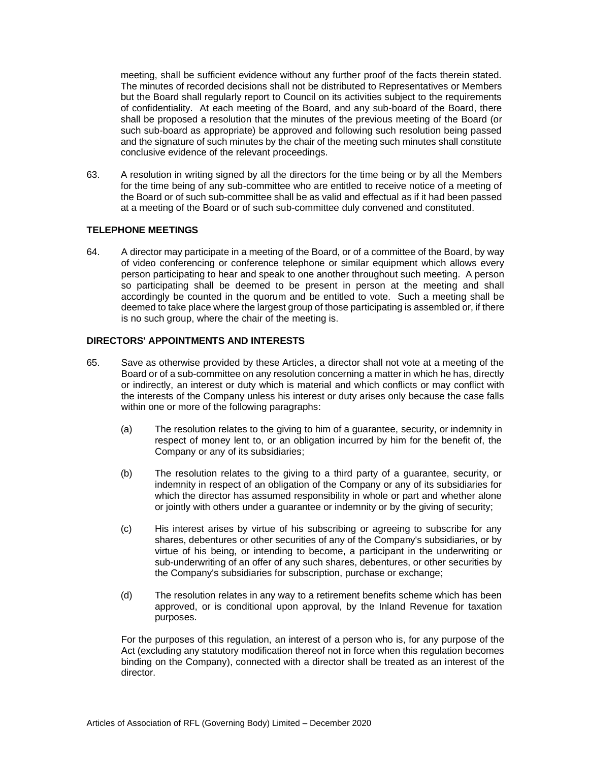meeting, shall be sufficient evidence without any further proof of the facts therein stated. The minutes of recorded decisions shall not be distributed to Representatives or Members but the Board shall regularly report to Council on its activities subject to the requirements of confidentiality. At each meeting of the Board, and any sub-board of the Board, there shall be proposed a resolution that the minutes of the previous meeting of the Board (or such sub-board as appropriate) be approved and following such resolution being passed and the signature of such minutes by the chair of the meeting such minutes shall constitute conclusive evidence of the relevant proceedings.

63. A resolution in writing signed by all the directors for the time being or by all the Members for the time being of any sub-committee who are entitled to receive notice of a meeting of the Board or of such sub-committee shall be as valid and effectual as if it had been passed at a meeting of the Board or of such sub-committee duly convened and constituted.

# **TELEPHONE MEETINGS**

64. A director may participate in a meeting of the Board, or of a committee of the Board, by way of video conferencing or conference telephone or similar equipment which allows every person participating to hear and speak to one another throughout such meeting. A person so participating shall be deemed to be present in person at the meeting and shall accordingly be counted in the quorum and be entitled to vote. Such a meeting shall be deemed to take place where the largest group of those participating is assembled or, if there is no such group, where the chair of the meeting is.

# **DIRECTORS' APPOINTMENTS AND INTERESTS**

- 65. Save as otherwise provided by these Articles, a director shall not vote at a meeting of the Board or of a sub-committee on any resolution concerning a matter in which he has, directly or indirectly, an interest or duty which is material and which conflicts or may conflict with the interests of the Company unless his interest or duty arises only because the case falls within one or more of the following paragraphs:
	- (a) The resolution relates to the giving to him of a guarantee, security, or indemnity in respect of money lent to, or an obligation incurred by him for the benefit of, the Company or any of its subsidiaries;
	- (b) The resolution relates to the giving to a third party of a guarantee, security, or indemnity in respect of an obligation of the Company or any of its subsidiaries for which the director has assumed responsibility in whole or part and whether alone or jointly with others under a guarantee or indemnity or by the giving of security;
	- (c) His interest arises by virtue of his subscribing or agreeing to subscribe for any shares, debentures or other securities of any of the Company's subsidiaries, or by virtue of his being, or intending to become, a participant in the underwriting or sub-underwriting of an offer of any such shares, debentures, or other securities by the Company's subsidiaries for subscription, purchase or exchange;
	- (d) The resolution relates in any way to a retirement benefits scheme which has been approved, or is conditional upon approval, by the Inland Revenue for taxation purposes.

For the purposes of this regulation, an interest of a person who is, for any purpose of the Act (excluding any statutory modification thereof not in force when this regulation becomes binding on the Company), connected with a director shall be treated as an interest of the director.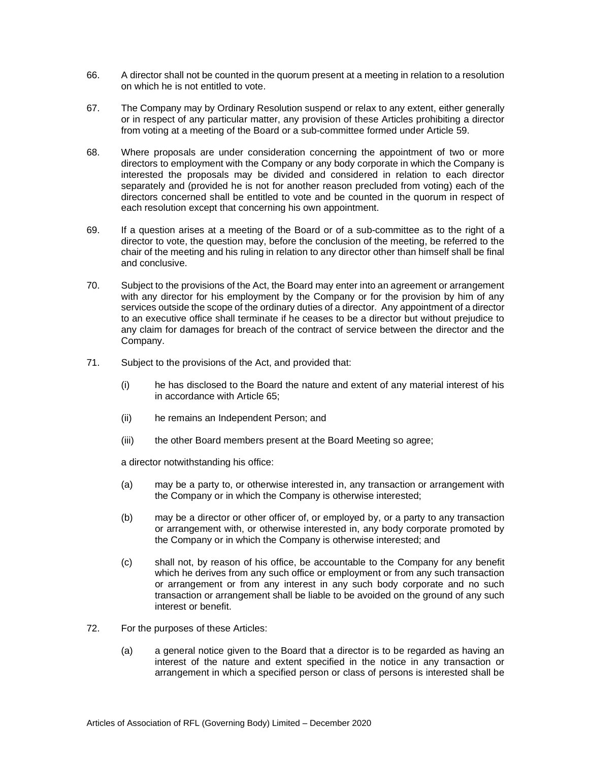- 66. A director shall not be counted in the quorum present at a meeting in relation to a resolution on which he is not entitled to vote.
- 67. The Company may by Ordinary Resolution suspend or relax to any extent, either generally or in respect of any particular matter, any provision of these Articles prohibiting a director from voting at a meeting of the Board or a sub-committee formed under Article 59.
- 68. Where proposals are under consideration concerning the appointment of two or more directors to employment with the Company or any body corporate in which the Company is interested the proposals may be divided and considered in relation to each director separately and (provided he is not for another reason precluded from voting) each of the directors concerned shall be entitled to vote and be counted in the quorum in respect of each resolution except that concerning his own appointment.
- 69. If a question arises at a meeting of the Board or of a sub-committee as to the right of a director to vote, the question may, before the conclusion of the meeting, be referred to the chair of the meeting and his ruling in relation to any director other than himself shall be final and conclusive.
- 70. Subject to the provisions of the Act, the Board may enter into an agreement or arrangement with any director for his employment by the Company or for the provision by him of any services outside the scope of the ordinary duties of a director. Any appointment of a director to an executive office shall terminate if he ceases to be a director but without prejudice to any claim for damages for breach of the contract of service between the director and the Company.
- 71. Subject to the provisions of the Act, and provided that:
	- (i) he has disclosed to the Board the nature and extent of any material interest of his in accordance with Article 65;
	- (ii) he remains an Independent Person; and
	- (iii) the other Board members present at the Board Meeting so agree;

a director notwithstanding his office:

- (a) may be a party to, or otherwise interested in, any transaction or arrangement with the Company or in which the Company is otherwise interested;
- (b) may be a director or other officer of, or employed by, or a party to any transaction or arrangement with, or otherwise interested in, any body corporate promoted by the Company or in which the Company is otherwise interested; and
- (c) shall not, by reason of his office, be accountable to the Company for any benefit which he derives from any such office or employment or from any such transaction or arrangement or from any interest in any such body corporate and no such transaction or arrangement shall be liable to be avoided on the ground of any such interest or benefit.
- 72. For the purposes of these Articles:
	- (a) a general notice given to the Board that a director is to be regarded as having an interest of the nature and extent specified in the notice in any transaction or arrangement in which a specified person or class of persons is interested shall be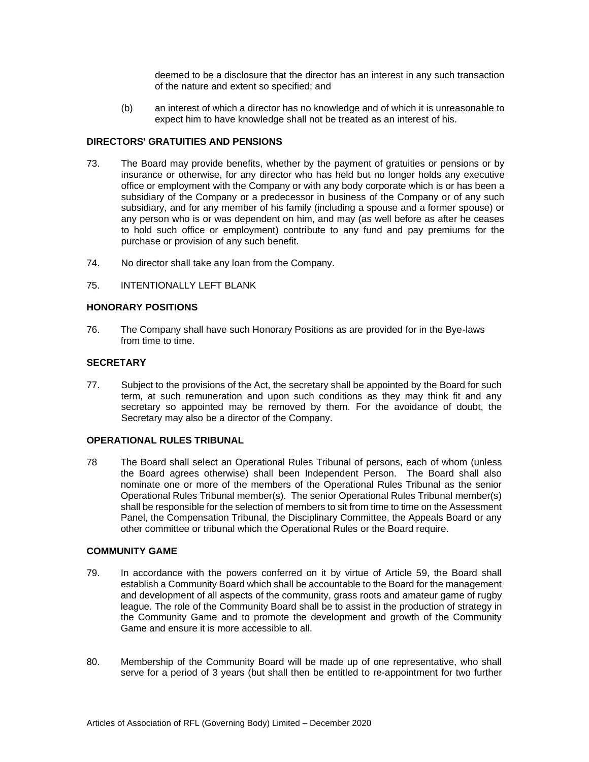deemed to be a disclosure that the director has an interest in any such transaction of the nature and extent so specified; and

(b) an interest of which a director has no knowledge and of which it is unreasonable to expect him to have knowledge shall not be treated as an interest of his.

### **DIRECTORS' GRATUITIES AND PENSIONS**

- 73. The Board may provide benefits, whether by the payment of gratuities or pensions or by insurance or otherwise, for any director who has held but no longer holds any executive office or employment with the Company or with any body corporate which is or has been a subsidiary of the Company or a predecessor in business of the Company or of any such subsidiary, and for any member of his family (including a spouse and a former spouse) or any person who is or was dependent on him, and may (as well before as after he ceases to hold such office or employment) contribute to any fund and pay premiums for the purchase or provision of any such benefit.
- 74. No director shall take any loan from the Company.
- 75. INTENTIONALLY LEFT BLANK

#### **HONORARY POSITIONS**

76. The Company shall have such Honorary Positions as are provided for in the Bye-laws from time to time.

#### **SECRETARY**

77. Subject to the provisions of the Act, the secretary shall be appointed by the Board for such term, at such remuneration and upon such conditions as they may think fit and any secretary so appointed may be removed by them. For the avoidance of doubt, the Secretary may also be a director of the Company.

#### **OPERATIONAL RULES TRIBUNAL**

78 The Board shall select an Operational Rules Tribunal of persons, each of whom (unless the Board agrees otherwise) shall been Independent Person. The Board shall also nominate one or more of the members of the Operational Rules Tribunal as the senior Operational Rules Tribunal member(s). The senior Operational Rules Tribunal member(s) shall be responsible for the selection of members to sit from time to time on the Assessment Panel, the Compensation Tribunal, the Disciplinary Committee, the Appeals Board or any other committee or tribunal which the Operational Rules or the Board require.

# **COMMUNITY GAME**

- 79. In accordance with the powers conferred on it by virtue of Article 59, the Board shall establish a Community Board which shall be accountable to the Board for the management and development of all aspects of the community, grass roots and amateur game of rugby league. The role of the Community Board shall be to assist in the production of strategy in the Community Game and to promote the development and growth of the Community Game and ensure it is more accessible to all.
- 80. Membership of the Community Board will be made up of one representative, who shall serve for a period of 3 years (but shall then be entitled to re-appointment for two further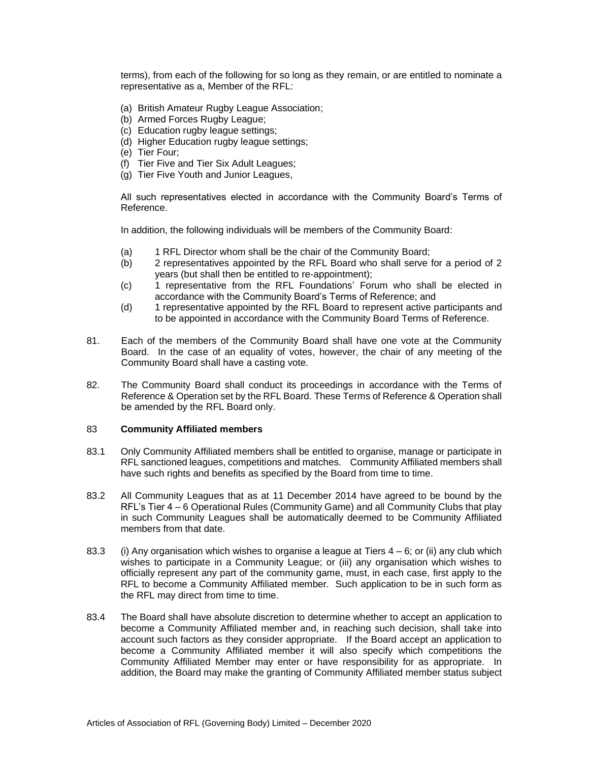terms), from each of the following for so long as they remain, or are entitled to nominate a representative as a, Member of the RFL:

- (a) British Amateur Rugby League Association;
- (b) Armed Forces Rugby League;
- (c) Education rugby league settings;
- (d) Higher Education rugby league settings;
- (e) Tier Four;
- (f) Tier Five and Tier Six Adult Leagues;
- (g) Tier Five Youth and Junior Leagues,

All such representatives elected in accordance with the Community Board's Terms of Reference.

In addition, the following individuals will be members of the Community Board:

- (a) 1 RFL Director whom shall be the chair of the Community Board;
- (b) 2 representatives appointed by the RFL Board who shall serve for a period of 2 years (but shall then be entitled to re-appointment);
- (c) 1 representative from the RFL Foundations' Forum who shall be elected in accordance with the Community Board's Terms of Reference; and
- (d) 1 representative appointed by the RFL Board to represent active participants and to be appointed in accordance with the Community Board Terms of Reference.
- 81. Each of the members of the Community Board shall have one vote at the Community Board. In the case of an equality of votes, however, the chair of any meeting of the Community Board shall have a casting vote.
- 82. The Community Board shall conduct its proceedings in accordance with the Terms of Reference & Operation set by the RFL Board. These Terms of Reference & Operation shall be amended by the RFL Board only.

#### 83 **Community Affiliated members**

- 83.1 Only Community Affiliated members shall be entitled to organise, manage or participate in RFL sanctioned leagues, competitions and matches. Community Affiliated members shall have such rights and benefits as specified by the Board from time to time.
- 83.2 All Community Leagues that as at 11 December 2014 have agreed to be bound by the RFL's Tier 4 – 6 Operational Rules (Community Game) and all Community Clubs that play in such Community Leagues shall be automatically deemed to be Community Affiliated members from that date.
- 83.3 (i) Any organisation which wishes to organise a league at Tiers  $4-6$ ; or (ii) any club which wishes to participate in a Community League; or (iii) any organisation which wishes to officially represent any part of the community game, must, in each case, first apply to the RFL to become a Community Affiliated member. Such application to be in such form as the RFL may direct from time to time.
- 83.4 The Board shall have absolute discretion to determine whether to accept an application to become a Community Affiliated member and, in reaching such decision, shall take into account such factors as they consider appropriate. If the Board accept an application to become a Community Affiliated member it will also specify which competitions the Community Affiliated Member may enter or have responsibility for as appropriate. In addition, the Board may make the granting of Community Affiliated member status subject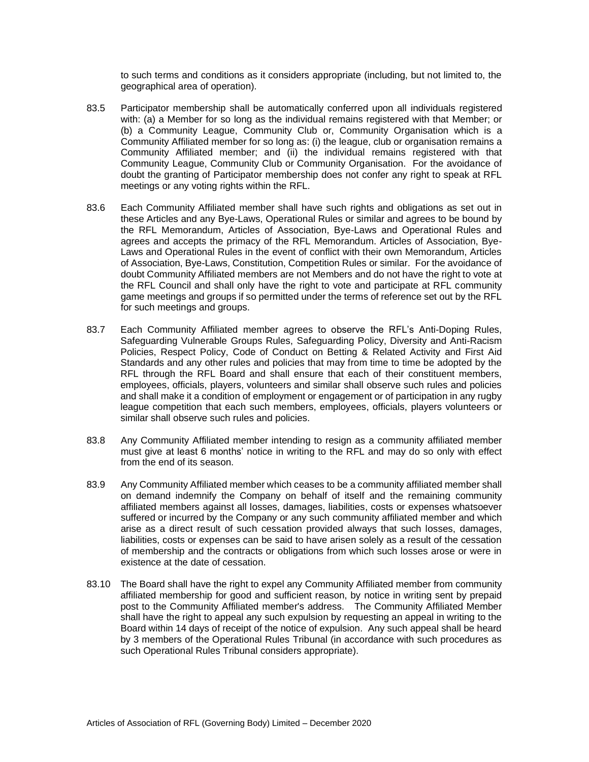to such terms and conditions as it considers appropriate (including, but not limited to, the geographical area of operation).

- 83.5 Participator membership shall be automatically conferred upon all individuals registered with: (a) a Member for so long as the individual remains registered with that Member; or (b) a Community League, Community Club or, Community Organisation which is a Community Affiliated member for so long as: (i) the league, club or organisation remains a Community Affiliated member; and (ii) the individual remains registered with that Community League, Community Club or Community Organisation. For the avoidance of doubt the granting of Participator membership does not confer any right to speak at RFL meetings or any voting rights within the RFL.
- 83.6 Each Community Affiliated member shall have such rights and obligations as set out in these Articles and any Bye-Laws, Operational Rules or similar and agrees to be bound by the RFL Memorandum, Articles of Association, Bye-Laws and Operational Rules and agrees and accepts the primacy of the RFL Memorandum. Articles of Association, Bye-Laws and Operational Rules in the event of conflict with their own Memorandum, Articles of Association, Bye-Laws, Constitution, Competition Rules or similar. For the avoidance of doubt Community Affiliated members are not Members and do not have the right to vote at the RFL Council and shall only have the right to vote and participate at RFL community game meetings and groups if so permitted under the terms of reference set out by the RFL for such meetings and groups.
- 83.7 Each Community Affiliated member agrees to observe the RFL's Anti-Doping Rules, Safeguarding Vulnerable Groups Rules, Safeguarding Policy, Diversity and Anti-Racism Policies, Respect Policy, Code of Conduct on Betting & Related Activity and First Aid Standards and any other rules and policies that may from time to time be adopted by the RFL through the RFL Board and shall ensure that each of their constituent members, employees, officials, players, volunteers and similar shall observe such rules and policies and shall make it a condition of employment or engagement or of participation in any rugby league competition that each such members, employees, officials, players volunteers or similar shall observe such rules and policies.
- 83.8 Any Community Affiliated member intending to resign as a community affiliated member must give at least 6 months' notice in writing to the RFL and may do so only with effect from the end of its season.
- 83.9 Any Community Affiliated member which ceases to be a community affiliated member shall on demand indemnify the Company on behalf of itself and the remaining community affiliated members against all losses, damages, liabilities, costs or expenses whatsoever suffered or incurred by the Company or any such community affiliated member and which arise as a direct result of such cessation provided always that such losses, damages, liabilities, costs or expenses can be said to have arisen solely as a result of the cessation of membership and the contracts or obligations from which such losses arose or were in existence at the date of cessation.
- 83.10 The Board shall have the right to expel any Community Affiliated member from community affiliated membership for good and sufficient reason, by notice in writing sent by prepaid post to the Community Affiliated member's address. The Community Affiliated Member shall have the right to appeal any such expulsion by requesting an appeal in writing to the Board within 14 days of receipt of the notice of expulsion. Any such appeal shall be heard by 3 members of the Operational Rules Tribunal (in accordance with such procedures as such Operational Rules Tribunal considers appropriate).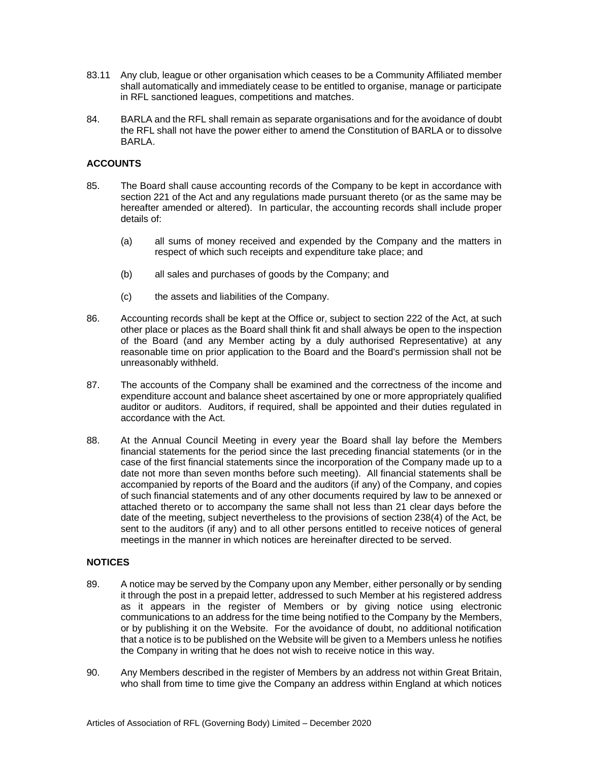- 83.11 Any club, league or other organisation which ceases to be a Community Affiliated member shall automatically and immediately cease to be entitled to organise, manage or participate in RFL sanctioned leagues, competitions and matches.
- 84. BARLA and the RFL shall remain as separate organisations and for the avoidance of doubt the RFL shall not have the power either to amend the Constitution of BARLA or to dissolve BARLA.

# **ACCOUNTS**

- 85. The Board shall cause accounting records of the Company to be kept in accordance with section 221 of the Act and any regulations made pursuant thereto (or as the same may be hereafter amended or altered). In particular, the accounting records shall include proper details of:
	- (a) all sums of money received and expended by the Company and the matters in respect of which such receipts and expenditure take place; and
	- (b) all sales and purchases of goods by the Company; and
	- (c) the assets and liabilities of the Company.
- 86. Accounting records shall be kept at the Office or, subject to section 222 of the Act, at such other place or places as the Board shall think fit and shall always be open to the inspection of the Board (and any Member acting by a duly authorised Representative) at any reasonable time on prior application to the Board and the Board's permission shall not be unreasonably withheld.
- 87. The accounts of the Company shall be examined and the correctness of the income and expenditure account and balance sheet ascertained by one or more appropriately qualified auditor or auditors. Auditors, if required, shall be appointed and their duties regulated in accordance with the Act.
- 88. At the Annual Council Meeting in every year the Board shall lay before the Members financial statements for the period since the last preceding financial statements (or in the case of the first financial statements since the incorporation of the Company made up to a date not more than seven months before such meeting). All financial statements shall be accompanied by reports of the Board and the auditors (if any) of the Company, and copies of such financial statements and of any other documents required by law to be annexed or attached thereto or to accompany the same shall not less than 21 clear days before the date of the meeting, subject nevertheless to the provisions of section 238(4) of the Act, be sent to the auditors (if any) and to all other persons entitled to receive notices of general meetings in the manner in which notices are hereinafter directed to be served.

### **NOTICES**

- 89. A notice may be served by the Company upon any Member, either personally or by sending it through the post in a prepaid letter, addressed to such Member at his registered address as it appears in the register of Members or by giving notice using electronic communications to an address for the time being notified to the Company by the Members, or by publishing it on the Website. For the avoidance of doubt, no additional notification that a notice is to be published on the Website will be given to a Members unless he notifies the Company in writing that he does not wish to receive notice in this way.
- 90. Any Members described in the register of Members by an address not within Great Britain, who shall from time to time give the Company an address within England at which notices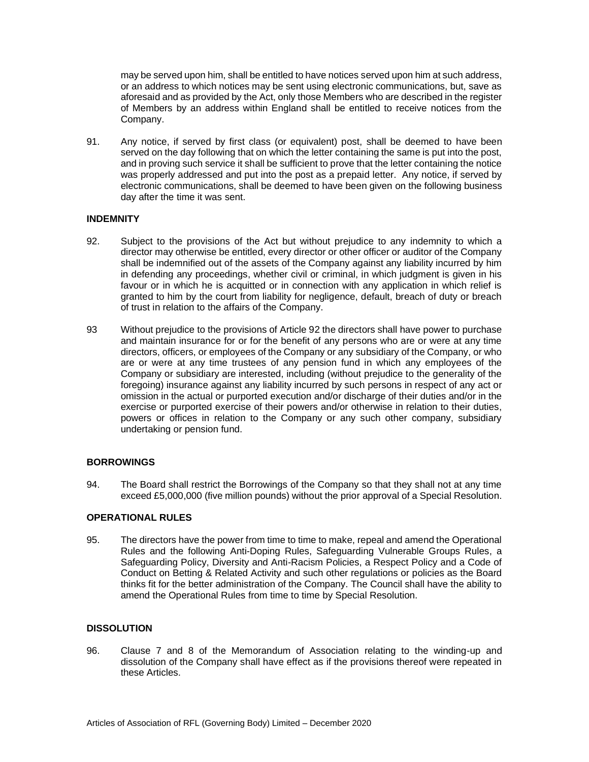may be served upon him, shall be entitled to have notices served upon him at such address, or an address to which notices may be sent using electronic communications, but, save as aforesaid and as provided by the Act, only those Members who are described in the register of Members by an address within England shall be entitled to receive notices from the Company.

91. Any notice, if served by first class (or equivalent) post, shall be deemed to have been served on the day following that on which the letter containing the same is put into the post, and in proving such service it shall be sufficient to prove that the letter containing the notice was properly addressed and put into the post as a prepaid letter. Any notice, if served by electronic communications, shall be deemed to have been given on the following business day after the time it was sent.

# **INDEMNITY**

- 92. Subject to the provisions of the Act but without prejudice to any indemnity to which a director may otherwise be entitled, every director or other officer or auditor of the Company shall be indemnified out of the assets of the Company against any liability incurred by him in defending any proceedings, whether civil or criminal, in which judgment is given in his favour or in which he is acquitted or in connection with any application in which relief is granted to him by the court from liability for negligence, default, breach of duty or breach of trust in relation to the affairs of the Company.
- 93 Without prejudice to the provisions of Article 92 the directors shall have power to purchase and maintain insurance for or for the benefit of any persons who are or were at any time directors, officers, or employees of the Company or any subsidiary of the Company, or who are or were at any time trustees of any pension fund in which any employees of the Company or subsidiary are interested, including (without prejudice to the generality of the foregoing) insurance against any liability incurred by such persons in respect of any act or omission in the actual or purported execution and/or discharge of their duties and/or in the exercise or purported exercise of their powers and/or otherwise in relation to their duties, powers or offices in relation to the Company or any such other company, subsidiary undertaking or pension fund.

# **BORROWINGS**

94. The Board shall restrict the Borrowings of the Company so that they shall not at any time exceed £5,000,000 (five million pounds) without the prior approval of a Special Resolution.

### **OPERATIONAL RULES**

95. The directors have the power from time to time to make, repeal and amend the Operational Rules and the following Anti-Doping Rules, Safeguarding Vulnerable Groups Rules, a Safeguarding Policy, Diversity and Anti-Racism Policies, a Respect Policy and a Code of Conduct on Betting & Related Activity and such other regulations or policies as the Board thinks fit for the better administration of the Company. The Council shall have the ability to amend the Operational Rules from time to time by Special Resolution.

### **DISSOLUTION**

96. Clause 7 and 8 of the Memorandum of Association relating to the winding-up and dissolution of the Company shall have effect as if the provisions thereof were repeated in these Articles.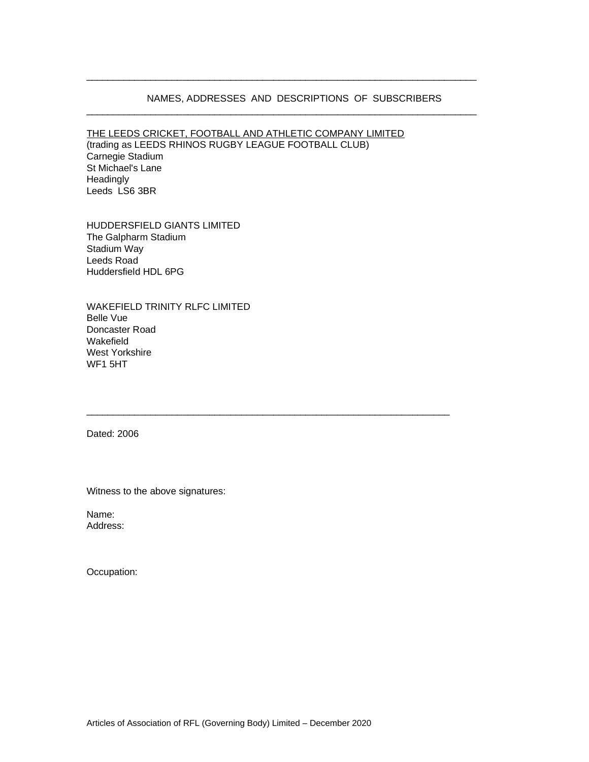#### NAMES, ADDRESSES AND DESCRIPTIONS OF SUBSCRIBERS

\_\_\_\_\_\_\_\_\_\_\_\_\_\_\_\_\_\_\_\_\_\_\_\_\_\_\_\_\_\_\_\_\_\_\_\_\_\_\_\_\_\_\_\_\_\_\_\_\_\_\_\_\_\_\_\_\_\_\_\_\_\_\_\_\_\_\_\_\_\_\_\_\_

\_\_\_\_\_\_\_\_\_\_\_\_\_\_\_\_\_\_\_\_\_\_\_\_\_\_\_\_\_\_\_\_\_\_\_\_\_\_\_\_\_\_\_\_\_\_\_\_\_\_\_\_\_\_\_\_\_\_\_\_\_\_\_\_\_\_\_\_\_\_\_\_\_

\_\_\_\_\_\_\_\_\_\_\_\_\_\_\_\_\_\_\_\_\_\_\_\_\_\_\_\_\_\_\_\_\_\_\_\_\_\_\_\_\_\_\_\_\_\_\_\_\_\_\_\_\_\_\_\_\_\_\_\_\_\_\_\_\_\_\_\_

THE LEEDS CRICKET, FOOTBALL AND ATHLETIC COMPANY LIMITED

(trading as LEEDS RHINOS RUGBY LEAGUE FOOTBALL CLUB) Carnegie Stadium St Michael's Lane **Headingly** Leeds LS6 3BR

HUDDERSFIELD GIANTS LIMITED The Galpharm Stadium Stadium Way Leeds Road Huddersfield HDL 6PG

WAKEFIELD TRINITY RLFC LIMITED Belle Vue Doncaster Road Wakefield West Yorkshire WF1 5HT

Dated: 2006

Witness to the above signatures:

Name: Address:

Occupation: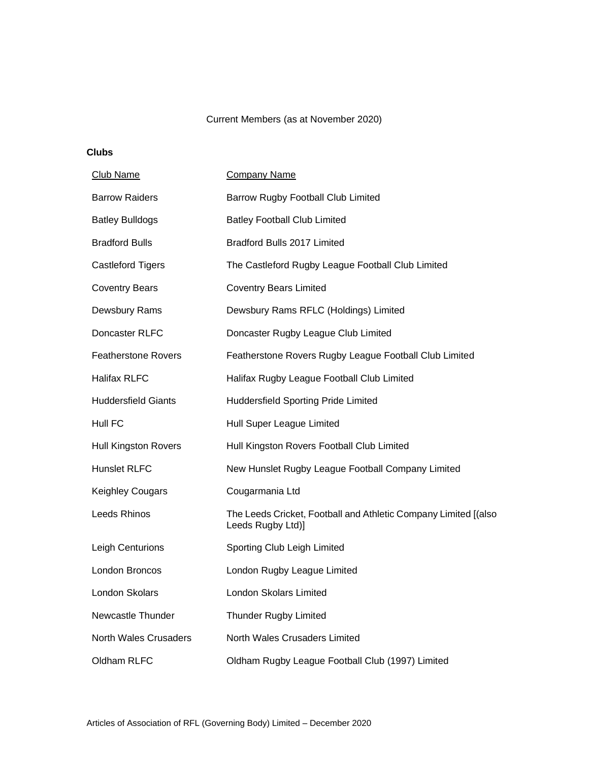# Current Members (as at November 2020)

**Clubs**

| Club Name                   | <b>Company Name</b>                                                                  |
|-----------------------------|--------------------------------------------------------------------------------------|
| <b>Barrow Raiders</b>       | <b>Barrow Rugby Football Club Limited</b>                                            |
| <b>Batley Bulldogs</b>      | <b>Batley Football Club Limited</b>                                                  |
| <b>Bradford Bulls</b>       | Bradford Bulls 2017 Limited                                                          |
| <b>Castleford Tigers</b>    | The Castleford Rugby League Football Club Limited                                    |
| <b>Coventry Bears</b>       | <b>Coventry Bears Limited</b>                                                        |
| Dewsbury Rams               | Dewsbury Rams RFLC (Holdings) Limited                                                |
| Doncaster RLFC              | Doncaster Rugby League Club Limited                                                  |
| <b>Featherstone Rovers</b>  | Featherstone Rovers Rugby League Football Club Limited                               |
| <b>Halifax RLFC</b>         | Halifax Rugby League Football Club Limited                                           |
| <b>Huddersfield Giants</b>  | Huddersfield Sporting Pride Limited                                                  |
| Hull FC                     | Hull Super League Limited                                                            |
| <b>Hull Kingston Rovers</b> | Hull Kingston Rovers Football Club Limited                                           |
| <b>Hunslet RLFC</b>         | New Hunslet Rugby League Football Company Limited                                    |
| <b>Keighley Cougars</b>     | Cougarmania Ltd                                                                      |
| Leeds Rhinos                | The Leeds Cricket, Football and Athletic Company Limited [(also<br>Leeds Rugby Ltd)] |
| Leigh Centurions            | Sporting Club Leigh Limited                                                          |
| London Broncos              | London Rugby League Limited                                                          |
| London Skolars              | London Skolars Limited                                                               |
| Newcastle Thunder           | <b>Thunder Rugby Limited</b>                                                         |
| North Wales Crusaders       | North Wales Crusaders Limited                                                        |
| Oldham RLFC                 | Oldham Rugby League Football Club (1997) Limited                                     |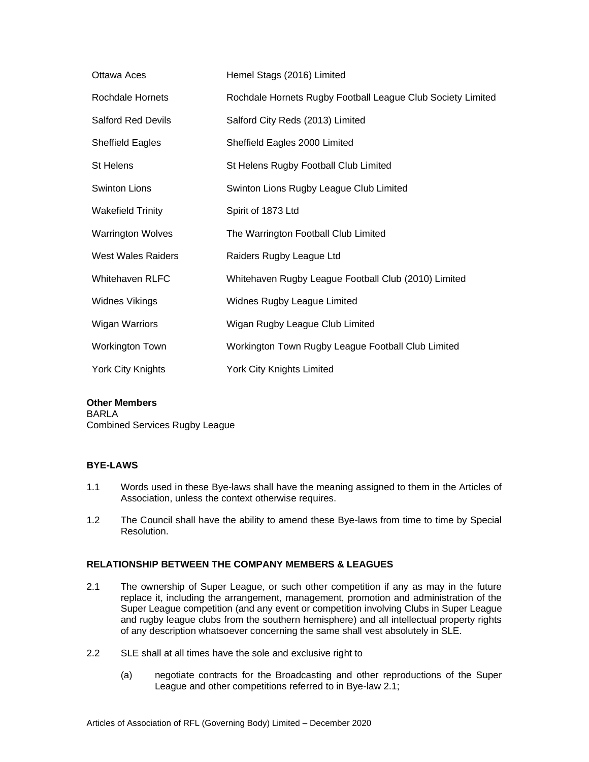| Ottawa Aces               | Hemel Stags (2016) Limited                                  |
|---------------------------|-------------------------------------------------------------|
| <b>Rochdale Hornets</b>   | Rochdale Hornets Rugby Football League Club Society Limited |
| <b>Salford Red Devils</b> | Salford City Reds (2013) Limited                            |
| <b>Sheffield Eagles</b>   | Sheffield Eagles 2000 Limited                               |
| St Helens                 | St Helens Rugby Football Club Limited                       |
| <b>Swinton Lions</b>      | Swinton Lions Rugby League Club Limited                     |
| <b>Wakefield Trinity</b>  | Spirit of 1873 Ltd                                          |
| <b>Warrington Wolves</b>  | The Warrington Football Club Limited                        |
| <b>West Wales Raiders</b> | Raiders Rugby League Ltd                                    |
| Whitehaven RLFC           | Whitehaven Rugby League Football Club (2010) Limited        |
| <b>Widnes Vikings</b>     | Widnes Rugby League Limited                                 |
| <b>Wigan Warriors</b>     | Wigan Rugby League Club Limited                             |
| Workington Town           | Workington Town Rugby League Football Club Limited          |
| York City Knights         | <b>York City Knights Limited</b>                            |

### **Other Members**

BARLA Combined Services Rugby League

### **BYE-LAWS**

- 1.1 Words used in these Bye-laws shall have the meaning assigned to them in the Articles of Association, unless the context otherwise requires.
- 1.2 The Council shall have the ability to amend these Bye-laws from time to time by Special Resolution.

# **RELATIONSHIP BETWEEN THE COMPANY MEMBERS & LEAGUES**

- 2.1 The ownership of Super League, or such other competition if any as may in the future replace it, including the arrangement, management, promotion and administration of the Super League competition (and any event or competition involving Clubs in Super League and rugby league clubs from the southern hemisphere) and all intellectual property rights of any description whatsoever concerning the same shall vest absolutely in SLE.
- 2.2 SLE shall at all times have the sole and exclusive right to
	- (a) negotiate contracts for the Broadcasting and other reproductions of the Super League and other competitions referred to in Bye-law 2.1;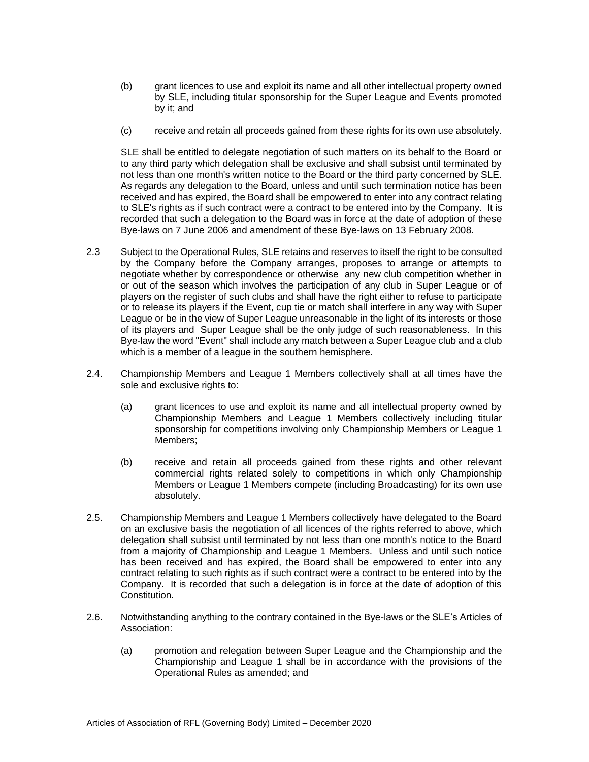- (b) grant licences to use and exploit its name and all other intellectual property owned by SLE, including titular sponsorship for the Super League and Events promoted by it; and
- (c) receive and retain all proceeds gained from these rights for its own use absolutely.

SLE shall be entitled to delegate negotiation of such matters on its behalf to the Board or to any third party which delegation shall be exclusive and shall subsist until terminated by not less than one month's written notice to the Board or the third party concerned by SLE. As regards any delegation to the Board, unless and until such termination notice has been received and has expired, the Board shall be empowered to enter into any contract relating to SLE's rights as if such contract were a contract to be entered into by the Company. It is recorded that such a delegation to the Board was in force at the date of adoption of these Bye-laws on 7 June 2006 and amendment of these Bye-laws on 13 February 2008.

- 2.3 Subject to the Operational Rules, SLE retains and reserves to itself the right to be consulted by the Company before the Company arranges, proposes to arrange or attempts to negotiate whether by correspondence or otherwise any new club competition whether in or out of the season which involves the participation of any club in Super League or of players on the register of such clubs and shall have the right either to refuse to participate or to release its players if the Event, cup tie or match shall interfere in any way with Super League or be in the view of Super League unreasonable in the light of its interests or those of its players and Super League shall be the only judge of such reasonableness. In this Bye-law the word "Event" shall include any match between a Super League club and a club which is a member of a league in the southern hemisphere.
- 2.4. Championship Members and League 1 Members collectively shall at all times have the sole and exclusive rights to:
	- (a) grant licences to use and exploit its name and all intellectual property owned by Championship Members and League 1 Members collectively including titular sponsorship for competitions involving only Championship Members or League 1 Members;
	- (b) receive and retain all proceeds gained from these rights and other relevant commercial rights related solely to competitions in which only Championship Members or League 1 Members compete (including Broadcasting) for its own use absolutely.
- 2.5. Championship Members and League 1 Members collectively have delegated to the Board on an exclusive basis the negotiation of all licences of the rights referred to above, which delegation shall subsist until terminated by not less than one month's notice to the Board from a majority of Championship and League 1 Members. Unless and until such notice has been received and has expired, the Board shall be empowered to enter into any contract relating to such rights as if such contract were a contract to be entered into by the Company. It is recorded that such a delegation is in force at the date of adoption of this Constitution.
- 2.6. Notwithstanding anything to the contrary contained in the Bye-laws or the SLE's Articles of Association:
	- (a) promotion and relegation between Super League and the Championship and the Championship and League 1 shall be in accordance with the provisions of the Operational Rules as amended; and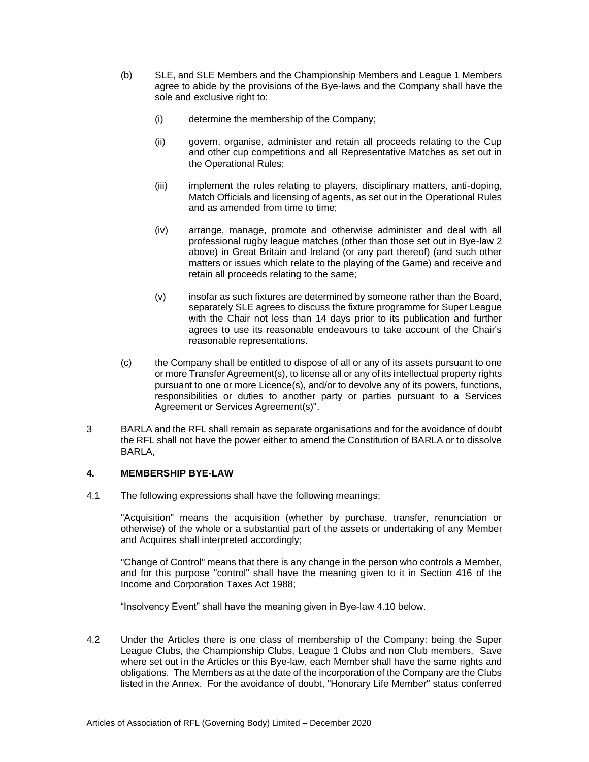- (b) SLE, and SLE Members and the Championship Members and League 1 Members agree to abide by the provisions of the Bye-laws and the Company shall have the sole and exclusive right to:
	- (i) determine the membership of the Company;
	- (ii) govern, organise, administer and retain all proceeds relating to the Cup and other cup competitions and all Representative Matches as set out in the Operational Rules;
	- (iii) implement the rules relating to players, disciplinary matters, anti-doping, Match Officials and licensing of agents, as set out in the Operational Rules and as amended from time to time;
	- (iv) arrange, manage, promote and otherwise administer and deal with all professional rugby league matches (other than those set out in Bye-law 2 above) in Great Britain and Ireland (or any part thereof) (and such other matters or issues which relate to the playing of the Game) and receive and retain all proceeds relating to the same;
	- (v) insofar as such fixtures are determined by someone rather than the Board, separately SLE agrees to discuss the fixture programme for Super League with the Chair not less than 14 days prior to its publication and further agrees to use its reasonable endeavours to take account of the Chair's reasonable representations.
- (c) the Company shall be entitled to dispose of all or any of its assets pursuant to one or more Transfer Agreement(s), to license all or any of its intellectual property rights pursuant to one or more Licence(s), and/or to devolve any of its powers, functions, responsibilities or duties to another party or parties pursuant to a Services Agreement or Services Agreement(s)".
- 3 BARLA and the RFL shall remain as separate organisations and for the avoidance of doubt the RFL shall not have the power either to amend the Constitution of BARLA or to dissolve BARLA,

# **4. MEMBERSHIP BYE-LAW**

4.1 The following expressions shall have the following meanings:

"Acquisition" means the acquisition (whether by purchase, transfer, renunciation or otherwise) of the whole or a substantial part of the assets or undertaking of any Member and Acquires shall interpreted accordingly;

"Change of Control" means that there is any change in the person who controls a Member, and for this purpose "control" shall have the meaning given to it in Section 416 of the Income and Corporation Taxes Act 1988;

"Insolvency Event" shall have the meaning given in Bye-law 4.10 below.

4.2 Under the Articles there is one class of membership of the Company: being the Super League Clubs, the Championship Clubs, League 1 Clubs and non Club members. Save where set out in the Articles or this Bye-law, each Member shall have the same rights and obligations. The Members as at the date of the incorporation of the Company are the Clubs listed in the Annex. For the avoidance of doubt, "Honorary Life Member" status conferred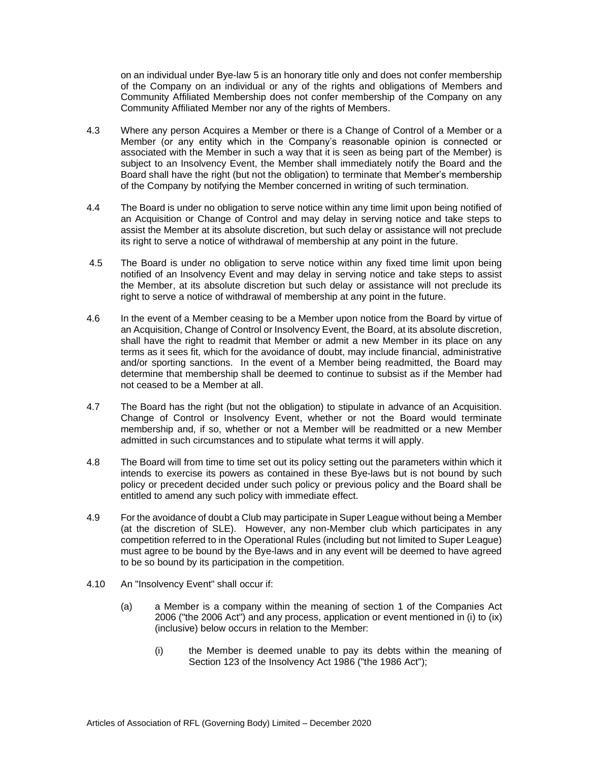on an individual under Bye-law 5 is an honorary title only and does not confer membership of the Company on an individual or any of the rights and obligations of Members and Community Affiliated Membership does not confer membership of the Company on any Community Affiliated Member nor any of the rights of Members.

- 4.3 Where any person Acquires a Member or there is a Change of Control of a Member or a Member (or any entity which in the Company's reasonable opinion is connected or associated with the Member in such a way that it is seen as being part of the Member) is subject to an Insolvency Event, the Member shall immediately notify the Board and the Board shall have the right (but not the obligation) to terminate that Member's membership of the Company by notifying the Member concerned in writing of such termination.
- 4.4 The Board is under no obligation to serve notice within any time limit upon being notified of an Acquisition or Change of Control and may delay in serving notice and take steps to assist the Member at its absolute discretion, but such delay or assistance will not preclude its right to serve a notice of withdrawal of membership at any point in the future.
- 4.5 The Board is under no obligation to serve notice within any fixed time limit upon being notified of an Insolvency Event and may delay in serving notice and take steps to assist the Member, at its absolute discretion but such delay or assistance will not preclude its right to serve a notice of withdrawal of membership at any point in the future.
- 4.6 In the event of a Member ceasing to be a Member upon notice from the Board by virtue of an Acquisition, Change of Control or Insolvency Event, the Board, at its absolute discretion, shall have the right to readmit that Member or admit a new Member in its place on any terms as it sees fit, which for the avoidance of doubt, may include financial, administrative and/or sporting sanctions. In the event of a Member being readmitted, the Board may determine that membership shall be deemed to continue to subsist as if the Member had not ceased to be a Member at all.
- 4.7 The Board has the right (but not the obligation) to stipulate in advance of an Acquisition. Change of Control or Insolvency Event, whether or not the Board would terminate membership and, if so, whether or not a Member will be readmitted or a new Member admitted in such circumstances and to stipulate what terms it will apply.
- 4.8 The Board will from time to time set out its policy setting out the parameters within which it intends to exercise its powers as contained in these Bye-laws but is not bound by such policy or precedent decided under such policy or previous policy and the Board shall be entitled to amend any such policy with immediate effect.
- 4.9 For the avoidance of doubt a Club may participate in Super League without being a Member (at the discretion of SLE). However, any non-Member club which participates in any competition referred to in the Operational Rules (including but not limited to Super League) must agree to be bound by the Bye-laws and in any event will be deemed to have agreed to be so bound by its participation in the competition.
- 4.10 An "Insolvency Event" shall occur if:
	- (a) a Member is a company within the meaning of section 1 of the Companies Act 2006 ("the 2006 Act") and any process, application or event mentioned in (i) to (ix) (inclusive) below occurs in relation to the Member:
		- (i) the Member is deemed unable to pay its debts within the meaning of Section 123 of the Insolvency Act 1986 ("the 1986 Act");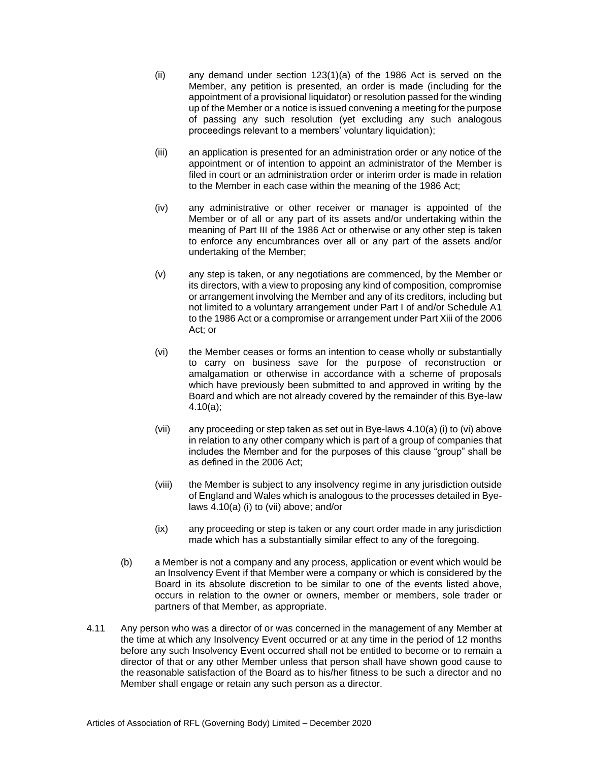- (ii) any demand under section 123(1)(a) of the 1986 Act is served on the Member, any petition is presented, an order is made (including for the appointment of a provisional liquidator) or resolution passed for the winding up of the Member or a notice is issued convening a meeting for the purpose of passing any such resolution (yet excluding any such analogous proceedings relevant to a members' voluntary liquidation);
- (iii) an application is presented for an administration order or any notice of the appointment or of intention to appoint an administrator of the Member is filed in court or an administration order or interim order is made in relation to the Member in each case within the meaning of the 1986 Act;
- (iv) any administrative or other receiver or manager is appointed of the Member or of all or any part of its assets and/or undertaking within the meaning of Part III of the 1986 Act or otherwise or any other step is taken to enforce any encumbrances over all or any part of the assets and/or undertaking of the Member;
- (v) any step is taken, or any negotiations are commenced, by the Member or its directors, with a view to proposing any kind of composition, compromise or arrangement involving the Member and any of its creditors, including but not limited to a voluntary arrangement under Part I of and/or Schedule A1 to the 1986 Act or a compromise or arrangement under Part Xiii of the 2006 Act; or
- (vi) the Member ceases or forms an intention to cease wholly or substantially to carry on business save for the purpose of reconstruction or amalgamation or otherwise in accordance with a scheme of proposals which have previously been submitted to and approved in writing by the Board and which are not already covered by the remainder of this Bye-law 4.10(a);
- (vii) any proceeding or step taken as set out in Bye-laws 4.10(a) (i) to (vi) above in relation to any other company which is part of a group of companies that includes the Member and for the purposes of this clause "group" shall be as defined in the 2006 Act;
- (viii) the Member is subject to any insolvency regime in any jurisdiction outside of England and Wales which is analogous to the processes detailed in Byelaws 4.10(a) (i) to (vii) above; and/or
- (ix) any proceeding or step is taken or any court order made in any jurisdiction made which has a substantially similar effect to any of the foregoing.
- (b) a Member is not a company and any process, application or event which would be an Insolvency Event if that Member were a company or which is considered by the Board in its absolute discretion to be similar to one of the events listed above, occurs in relation to the owner or owners, member or members, sole trader or partners of that Member, as appropriate.
- 4.11 Any person who was a director of or was concerned in the management of any Member at the time at which any Insolvency Event occurred or at any time in the period of 12 months before any such Insolvency Event occurred shall not be entitled to become or to remain a director of that or any other Member unless that person shall have shown good cause to the reasonable satisfaction of the Board as to his/her fitness to be such a director and no Member shall engage or retain any such person as a director.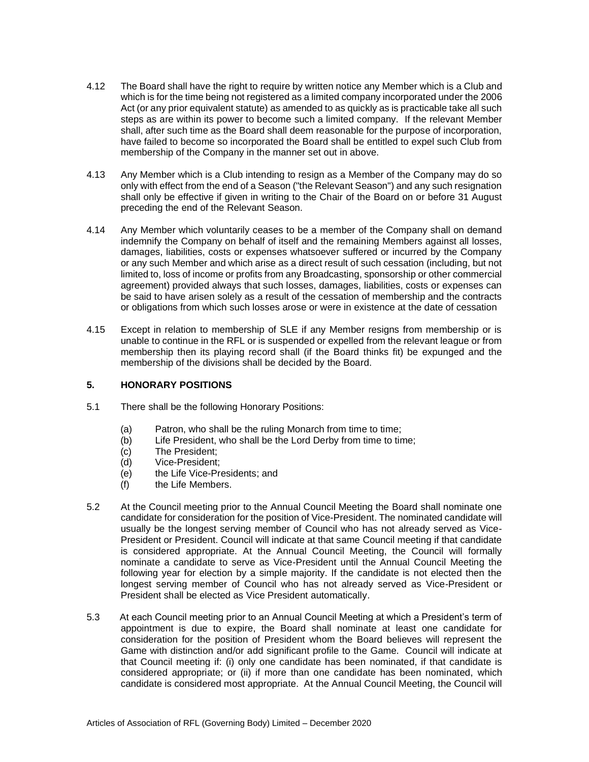- 4.12 The Board shall have the right to require by written notice any Member which is a Club and which is for the time being not registered as a limited company incorporated under the 2006 Act (or any prior equivalent statute) as amended to as quickly as is practicable take all such steps as are within its power to become such a limited company. If the relevant Member shall, after such time as the Board shall deem reasonable for the purpose of incorporation, have failed to become so incorporated the Board shall be entitled to expel such Club from membership of the Company in the manner set out in above.
- 4.13 Any Member which is a Club intending to resign as a Member of the Company may do so only with effect from the end of a Season ("the Relevant Season") and any such resignation shall only be effective if given in writing to the Chair of the Board on or before 31 August preceding the end of the Relevant Season.
- 4.14 Any Member which voluntarily ceases to be a member of the Company shall on demand indemnify the Company on behalf of itself and the remaining Members against all losses, damages, liabilities, costs or expenses whatsoever suffered or incurred by the Company or any such Member and which arise as a direct result of such cessation (including, but not limited to, loss of income or profits from any Broadcasting, sponsorship or other commercial agreement) provided always that such losses, damages, liabilities, costs or expenses can be said to have arisen solely as a result of the cessation of membership and the contracts or obligations from which such losses arose or were in existence at the date of cessation
- 4.15 Except in relation to membership of SLE if any Member resigns from membership or is unable to continue in the RFL or is suspended or expelled from the relevant league or from membership then its playing record shall (if the Board thinks fit) be expunged and the membership of the divisions shall be decided by the Board.

# **5. HONORARY POSITIONS**

- 5.1 There shall be the following Honorary Positions:
	- (a) Patron, who shall be the ruling Monarch from time to time;<br>(b) Life President, who shall be the Lord Derby from time to tin
	- Life President, who shall be the Lord Derby from time to time;
	- (c) The President;
	- (d) Vice-President;
	- (e) the Life Vice-Presidents; and
	- (f) the Life Members.
- 5.2 At the Council meeting prior to the Annual Council Meeting the Board shall nominate one candidate for consideration for the position of Vice-President. The nominated candidate will usually be the longest serving member of Council who has not already served as Vice-President or President. Council will indicate at that same Council meeting if that candidate is considered appropriate. At the Annual Council Meeting, the Council will formally nominate a candidate to serve as Vice-President until the Annual Council Meeting the following year for election by a simple majority. If the candidate is not elected then the longest serving member of Council who has not already served as Vice-President or President shall be elected as Vice President automatically.
- 5.3 At each Council meeting prior to an Annual Council Meeting at which a President's term of appointment is due to expire, the Board shall nominate at least one candidate for consideration for the position of President whom the Board believes will represent the Game with distinction and/or add significant profile to the Game. Council will indicate at that Council meeting if: (i) only one candidate has been nominated, if that candidate is considered appropriate; or (ii) if more than one candidate has been nominated, which candidate is considered most appropriate. At the Annual Council Meeting, the Council will